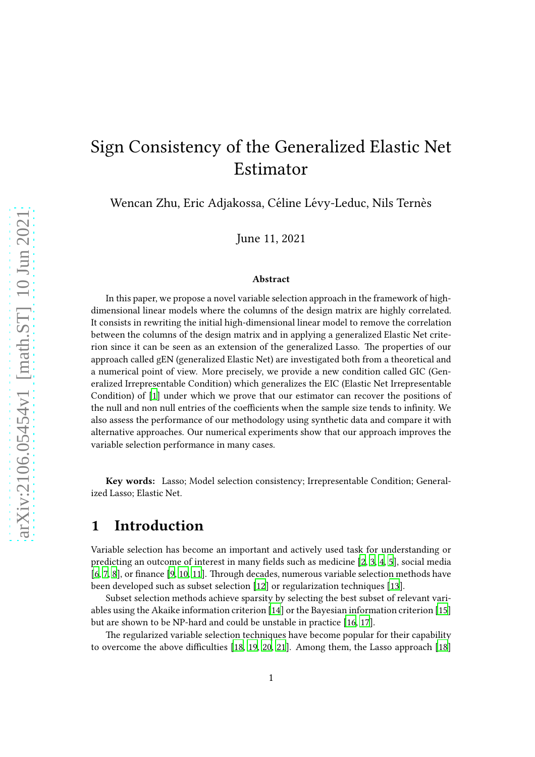# Sign Consistency of the Generalized Elastic Net Estimator

Wencan Zhu, Eric Adjakossa, Céline Lévy-Leduc, Nils Ternès

June 11, 2021

#### Abstract

In this paper, we propose a novel variable selection approach in the framework of highdimensional linear models where the columns of the design matrix are highly correlated. It consists in rewriting the initial high-dimensional linear model to remove the correlation between the columns of the design matrix and in applying a generalized Elastic Net criterion since it can be seen as an extension of the generalized Lasso. The properties of our approach called gEN (generalized Elastic Net) are investigated both from a theoretical and a numerical point of view. More precisely, we provide a new condition called GIC (Generalized Irrepresentable Condition) which generalizes the EIC (Elastic Net Irrepresentable Condition) of [\[1](#page-20-0)] under which we prove that our estimator can recover the positions of the null and non null entries of the coefficients when the sample size tends to infinity. We also assess the performance of our methodology using synthetic data and compare it with alternative approaches. Our numerical experiments show that our approach improves the variable selection performance in many cases.

Key words: Lasso; Model selection consistency; Irrepresentable Condition; Generalized Lasso; Elastic Net.

### 1 Introduction

Variable selection has become an important and actively used task for understanding or predicting an outcome of interest in many fields such as medicine [\[2](#page-20-1), [3,](#page-20-2) [4](#page-20-3), [5](#page-20-4)], social media  $[6, 7, 8]$  $[6, 7, 8]$  $[6, 7, 8]$  $[6, 7, 8]$ , or finance  $[9, 10, 11]$  $[9, 10, 11]$  $[9, 10, 11]$  $[9, 10, 11]$  $[9, 10, 11]$ . Through decades, numerous variable selection methods have been developed such as subset selection [\[12](#page-21-1)] or regularization techniques [\[13](#page-21-2)].

Subset selection methods achieve sparsity by selecting the best subset of relevant variables using the Akaike information criterion [\[14\]](#page-21-3) or the Bayesian information criterion [\[15\]](#page-21-4) but are shown to be NP-hard and could be unstable in practice [\[16,](#page-21-5) [17](#page-21-6)].

The regularized variable selection techniques have become popular for their capability to overcome the above difficulties [\[18](#page-21-7), [19](#page-21-8), [20](#page-21-9), [21\]](#page-21-10). Among them, the Lasso approach [\[18\]](#page-21-7)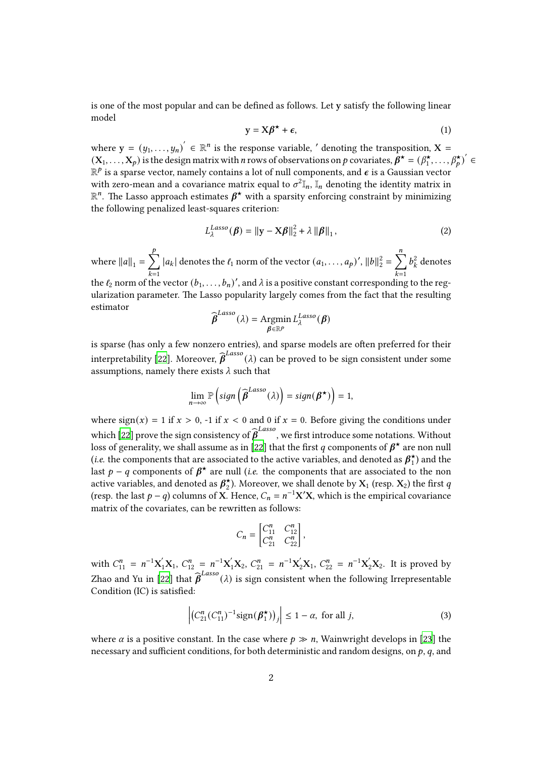<span id="page-1-1"></span>is one of the most popular and can be defined as follows. Let y satisfy the following linear model

$$
y = X\beta^* + \epsilon, \tag{1}
$$

where  $y = (y_1, \ldots, y_n)' \in \mathbb{R}^n$  is the response variable, ' denoting the transposition,  $X =$  $(X_1, ..., X_p)$  is the design matrix with *n* rows of observations on *p* covariates,  $\boldsymbol{\beta}^{\star} = (\beta_1^{\star})$  $\overrightarrow{A}_{1}, \ldots, \overrightarrow{B}_{p}^{\star}$  $\overrightarrow{B}_{p}^{\star}$  $\in$  $\mathbb{R}^p$  is a sparse vector, namely contains a lot of null components, and  $\boldsymbol{\epsilon}$  is a Gaussian vector with zero-mean and a covariance matrix equal to  $\sigma^2 \mathbb{I}_n$ ,  $\mathbb{I}_n$  denoting the identity matrix in  $\mathbb{R}^n$ . The Lasso approach estimates  $\beta^*$  with a sparsity enforcing constraint by minimizing the following penalized least-squares criterion:

$$
L_{\lambda}^{Lasso}(\boldsymbol{\beta}) = ||\mathbf{y} - \mathbf{X}\boldsymbol{\beta}||_2^2 + \lambda ||\boldsymbol{\beta}||_1,
$$
 (2)

where  $||a||_1 = \sum^p$  $\overline{k=1}$  $|a_k|$  denotes the  $\ell_1$  norm of the vector  $(a_1, \ldots, a_p)'$ ,  $||b||_2^2 = \sum^n$  $\overline{k=1}$  $b_k^2$  $k^2$  denotes the  $\ell_2$  norm of the vector  $(b_1, \ldots, b_n)'$ , and  $\lambda$  is a positive constant corresponding to the regularization parameter. The Lasso popularity largely comes from the fact that the resulting estimator Lasso

$$
\widehat{\boldsymbol{\beta}}^{Lasso}(\lambda) = \underset{\boldsymbol{\beta} \in \mathbb{R}^p}{\text{Argmin}} L_{\lambda}^{Lasso}(\boldsymbol{\beta})
$$

is sparse (has only a few nonzero entries), and sparse models are often preferred for their interpretability [\[22\]](#page-21-11). Moreover,  $\widehat{\bm{\beta}}^{Lasso}(\lambda)$  can be proved to be sign consistent under some assumptions, namely there exists  $\lambda$  such that

$$
\lim_{n\to\infty}\mathbb{P}\left(\text{sign}\left(\widehat{\boldsymbol{\beta}}^{Lasso}(\lambda)\right)=\text{sign}(\boldsymbol{\beta}^{\star})\right)=1,
$$

where sign(x) = 1 if  $x > 0$ , -1 if  $x < 0$  and 0 if  $x = 0$ . Before giving the conditions under which [\[22\]](#page-21-11) prove the sign consistency of  $\widehat{\bm{\beta}}^{Lasso}$  , we first introduce some notations. Without loss of generality, we shall assume as in [\[22\]](#page-21-11) that the first q components of  $\beta^{\star}$  are non null (*i.e.* the components that are associated to the active variables, and denoted as  $\beta_1^*$  $\binom{1}{1}$  and the last  $p - q$  components of  $\beta^*$  are null (*i.e.* the components that are associated to the non active variables, and denoted as  $\beta_2^*$  $\check{c}_2$ ). Moreover, we shall denote by  $\mathrm{X}_1$  (resp.  $\mathrm{X}_2$ ) the first  $q$ (resp. the last  $p - q$ ) columns of X. Hence,  $C_n = n^{-1}X'X$ , which is the empirical covariance matrix of the covariates, can be rewritten as follows:

$$
C_n = \begin{bmatrix} C_{11}^n & C_{12}^n \\ C_{21}^n & C_{22}^n \end{bmatrix},
$$

with  $C_{11}^n = n^{-1}X_1'X_1$ ,  $C_{12}^n = n^{-1}X_1'X_2$ ,  $C_{21}^n = n^{-1}X_2'X_1$ ,  $C_{22}^n = n^{-1}X_2'X_2$ . It is proved by Zhao and Yu in [\[22](#page-21-11)] that  $\widehat{\bm{\beta}}^{Lasso}(\lambda)$  is sign consistent when the following Irrepresentable Condition (IC) is satisfied:

<span id="page-1-0"></span>
$$
\left| \left( C_{21}^n (C_{11}^n)^{-1} \text{sign}(\boldsymbol{\beta}_1^{\star}) \right)_j \right| \le 1 - \alpha, \text{ for all } j,
$$
 (3)

where  $\alpha$  is a positive constant. In the case where  $p \gg n$ , Wainwright develops in [\[23\]](#page-21-12) the necessary and sufficient conditions, for both deterministic and random designs, on  $p, q$ , and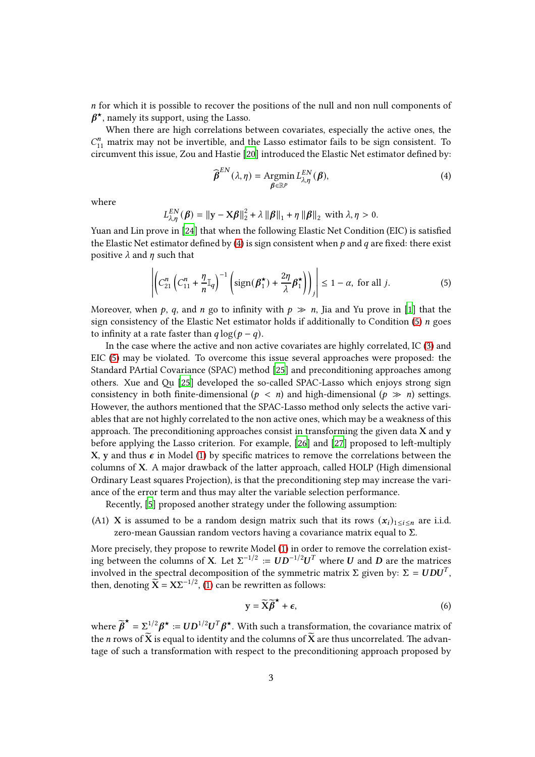$n$  for which it is possible to recover the positions of the null and non null components of  $\beta^{\star}$ , namely its support, using the Lasso.

When there are high correlations between covariates, especially the active ones, the  $C_{11}^n$  matrix may not be invertible, and the Lasso estimator fails to be sign consistent. To circumvent this issue, Zou and Hastie [\[20](#page-21-9)] introduced the Elastic Net estimator defined by:

<span id="page-2-0"></span>
$$
\widehat{\boldsymbol{\beta}}^{EN}(\lambda,\eta) = \underset{\boldsymbol{\beta}\in\mathbb{R}^p}{\text{Argmin}} L_{\lambda,\eta}^{EN}(\boldsymbol{\beta}),\tag{4}
$$

where

$$
L_{\lambda,\eta}^{EN}(\boldsymbol{\beta}) = \|\mathbf{y} - \mathbf{X}\boldsymbol{\beta}\|_2^2 + \lambda \|\boldsymbol{\beta}\|_1 + \eta \|\boldsymbol{\beta}\|_2 \text{ with } \lambda, \eta > 0.
$$

Yuan and Lin prove in [\[24\]](#page-21-13) that when the following Elastic Net Condition (EIC) is satisfied the Elastic Net estimator defined by [\(4\)](#page-2-0) is sign consistent when  $p$  and  $q$  are fixed: there exist positive  $\lambda$  and  $\eta$  such that

<span id="page-2-1"></span>
$$
\left| \left( C_{21}^n \left( C_{11}^n + \frac{\eta}{n} \mathbb{I}_q \right)^{-1} \left( \text{sign}(\boldsymbol{\beta}_1^{\star}) + \frac{2\eta}{\lambda} \boldsymbol{\beta}_1^{\star} \right) \right) \right| \le 1 - \alpha, \text{ for all } j.
$$
 (5)

Moreover, when p, q, and n go to infinity with  $p \gg n$ , Jia and Yu prove in [\[1\]](#page-20-0) that the sign consistency of the Elastic Net estimator holds if additionally to Condition [\(5\)](#page-2-1)  $n$  goes to infinity at a rate faster than  $q \log(p - q)$ .

In the case where the active and non active covariates are highly correlated, IC [\(3\)](#page-1-0) and EIC [\(5\)](#page-2-1) may be violated. To overcome this issue several approaches were proposed: the Standard PArtial Covariance (SPAC) method [\[25](#page-21-14)] and preconditioning approaches among others. Xue and Qu [\[25\]](#page-21-14) developed the so-called SPAC-Lasso which enjoys strong sign consistency in both finite-dimensional ( $p \le n$ ) and high-dimensional ( $p \gg n$ ) settings. However, the authors mentioned that the SPAC-Lasso method only selects the active variables that are not highly correlated to the non active ones, which may be a weakness of this approach. The preconditioning approaches consist in transforming the given data  $X$  and  $y$ before applying the Lasso criterion. For example,  $[26]$  and  $[27]$  proposed to left-multiply X, y and thus  $\epsilon$  in Model [\(1\)](#page-1-1) by specific matrices to remove the correlations between the columns of  $X$ . A major drawback of the latter approach, called HOLP (High dimensional Ordinary Least squares Projection), is that the preconditioning step may increase the variance of the error term and thus may alter the variable selection performance.

Recently, [\[5\]](#page-20-4) proposed another strategy under the following assumption:

<span id="page-2-2"></span>(A1) X is assumed to be a random design matrix such that its rows  $(x_i)_{1 \le i \le n}$  are i.i.d. zero-mean Gaussian random vectors having a covariance matrix equal to  $\Sigma$ .

More precisely, they propose to rewrite Model [\(1\)](#page-1-1) in order to remove the correlation existing between the columns of X. Let  $\Sigma^{-1/2} \coloneqq \bm{U} \bm{D}^{-1/2} \bm{U}^T$  where  $\bm{U}$  and  $\bm{D}$  are the matrices involved in the spectral decomposition of the symmetric matrix  $\Sigma$  given by:  $\Sigma = UDU^{T},$ then, denoting  $\widetilde{\mathbf{X}} = \mathbf{X} \Sigma^{-1/2}$ , [\(1\)](#page-1-1) can be rewritten as follows:

 $\sim$ 

$$
y = \widetilde{X}\widetilde{\beta}^{\star} + \epsilon, \tag{6}
$$

where  $\widetilde{\boldsymbol{\beta}}^{\star} = \sum_{i=1}^{N} \boldsymbol{\beta}^{\star} := \boldsymbol{U} \boldsymbol{D}^{1/2} \boldsymbol{U}^{T} \boldsymbol{\beta}^{\star}$ . With such a transformation, the covariance matrix of the *n* rows of  $\widetilde{X}$  is equal to identity and the columns of  $\widetilde{X}$  are thus uncorrelated. The advantage of such a transformation with respect to the preconditioning approach proposed by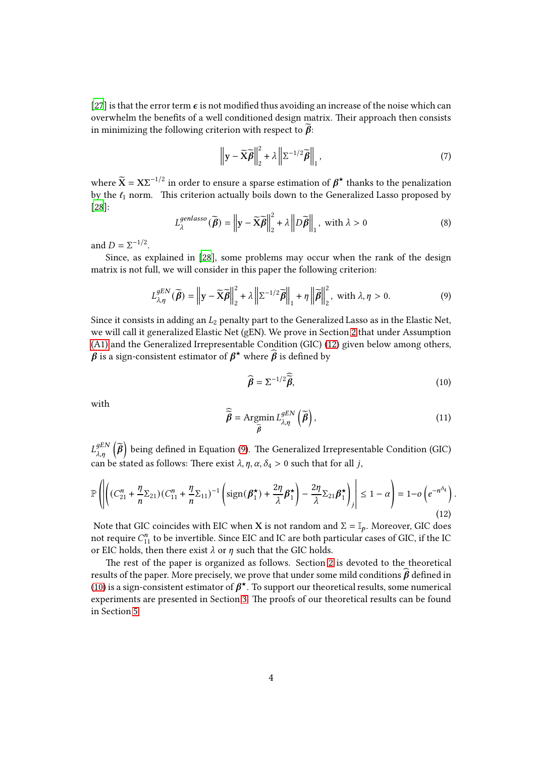[\[27](#page-22-1)] is that the error term  $\epsilon$  is not modified thus avoiding an increase of the noise which can overwhelm the benefits of a well conditioned design matrix. Their approach then consists in minimizing the following criterion with respect to  $\beta$ :

$$
\left\|\mathbf{y} - \widetilde{\mathbf{X}}\widetilde{\boldsymbol{\beta}}\right\|_{2}^{2} + \lambda \left\|\Sigma^{-1/2}\widetilde{\boldsymbol{\beta}}\right\|_{1},\tag{7}
$$

where  $\widetilde{X} = X\Sigma^{-1/2}$  in order to ensure a sparse estimation of  $\beta^{\star}$  thanks to the penalization by the  $\ell_1$  norm. This criterion actually boils down to the Generalized Lasso proposed by [\[28](#page-22-2)]:

$$
L_{\lambda}^{genlasso}(\widetilde{\boldsymbol{\beta}}) = \left\| \mathbf{y} - \widetilde{\mathbf{X}} \widetilde{\boldsymbol{\beta}} \right\|_{2}^{2} + \lambda \left\| D\widetilde{\boldsymbol{\beta}} \right\|_{1}, \text{ with } \lambda > 0 \tag{8}
$$

and  $D = \Sigma^{-1/2}$ .

Since, as explained in [\[28](#page-22-2)], some problems may occur when the rank of the design matrix is not full, we will consider in this paper the following criterion:

$$
L_{\lambda,\eta}^{gEN}(\widetilde{\boldsymbol{\beta}}) = \left\| \mathbf{y} - \widetilde{\mathbf{X}} \widetilde{\boldsymbol{\beta}} \right\|_{2}^{2} + \lambda \left\| \Sigma^{-1/2} \widetilde{\boldsymbol{\beta}} \right\|_{1} + \eta \left\| \widetilde{\boldsymbol{\beta}} \right\|_{2}^{2}, \text{ with } \lambda, \eta > 0. \tag{9}
$$

Since it consists in adding an  $L_2$  penalty part to the Generalized Lasso as in the Elastic Net, we will call it generalized Elastic Net (gEN). We prove in Section [2](#page-4-0) that under Assumption [\(A1\)](#page-2-2) and the Generalized Irrepresentable Condition (GIC) [\(12\)](#page-3-0) given below among others,  $\hat{\hat{\boldsymbol{\beta}}}$  is a sign-consistent estimator of  $\boldsymbol{\beta}^\star$  where  $\widehat{\boldsymbol{\beta}}$  is defined by

<span id="page-3-2"></span><span id="page-3-1"></span>
$$
\widehat{\boldsymbol{\beta}} = \Sigma^{-1/2} \widehat{\vec{\boldsymbol{\beta}}},\tag{10}
$$

<span id="page-3-0"></span>.

with

$$
\widehat{\widetilde{\boldsymbol{\beta}}} = \operatorname{Argmin}_{\widetilde{\boldsymbol{\beta}}} L_{\lambda, \eta}^{gEN} \left( \widetilde{\boldsymbol{\beta}} \right), \tag{11}
$$

 $L_{\lambda,\eta}^{gEN}\left(\widetilde{\pmb{\beta}}\right)$  being defined in Equation [\(9\)](#page-3-1). The Generalized Irrepresentable Condition (GIC) can be stated as follows: There exist  $\lambda$ ,  $\eta$ ,  $\alpha$ ,  $\delta_4 > 0$  such that for all *j*,

$$
\mathbb{P}\left(\left|\left((C_{21}^n + \frac{\eta}{n}\Sigma_{21})(C_{11}^n + \frac{\eta}{n}\Sigma_{11})^{-1}\left(\text{sign}(\beta_1^{\star}) + \frac{2\eta}{\lambda}\beta_1^{\star}\right) - \frac{2\eta}{\lambda}\Sigma_{21}\beta_1^{\star}\right)\right| \le 1 - \alpha\right) = 1 - o\left(e^{-n^{\delta_4}}\right)
$$
\n(12)

Note that GIC coincides with EIC when X is not random and  $\Sigma = \mathbb{I}_p$ . Moreover, GIC does not require  $C_{11}^n$  to be invertible. Since EIC and IC are both particular cases of GIC, if the IC or EIC holds, then there exist  $\lambda$  or  $\eta$  such that the GIC holds.

The rest of the paper is organized as follows. Section [2](#page-4-0) is devoted to the theoretical results of the paper. More precisely, we prove that under some mild conditions  $\hat{\beta}$  defined in [\(10\)](#page-3-2) is a sign-consistent estimator of  $\beta^{\star}$ . To support our theoretical results, some numerical experiments are presented in Section [3.](#page-5-0) The proofs of our theoretical results can be found in Section [5.](#page-8-0)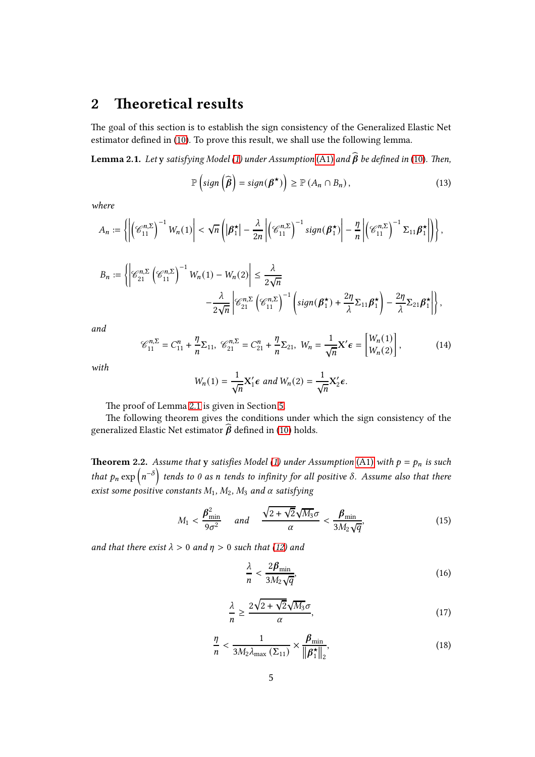## <span id="page-4-0"></span>2 Theoretical results

The goal of this section is to establish the sign consistency of the Generalized Elastic Net estimator defined in [\(10\)](#page-3-2). To prove this result, we shall use the following lemma.

<span id="page-4-1"></span>**Lemma 2.1.** Let y satisfying Model [\(1\)](#page-1-1) under Assumption [\(A1\)](#page-2-2) and  $\widehat{\boldsymbol{\beta}}$  be defined in [\(10\)](#page-3-2). Then,

$$
\mathbb{P}\left(\text{sign}\left(\widehat{\boldsymbol{\beta}}\right) = \text{sign}(\boldsymbol{\beta}^\star)\right) \ge \mathbb{P}\left(A_n \cap B_n\right),\tag{13}
$$

where

$$
A_n := \left\{ \left| \left( \mathcal{C}_{11}^{n,\Sigma} \right)^{-1} W_n(1) \right| < \sqrt{n} \left( \left| \boldsymbol{\beta}_1^{\star} \right| - \frac{\lambda}{2n} \left| \left( \mathcal{C}_{11}^{n,\Sigma} \right)^{-1} sign(\boldsymbol{\beta}_1^{\star}) \right| - \frac{\eta}{n} \left| \left( \mathcal{C}_{11}^{n,\Sigma} \right)^{-1} \Sigma_{11} \boldsymbol{\beta}_1^{\star} \right| \right) \right\},
$$

$$
B_n := \left\{ \left| \mathcal{C}_{21}^{n,\Sigma} \left( \mathcal{C}_{11}^{n,\Sigma} \right)^{-1} W_n(1) - W_n(2) \right| \leq \frac{\lambda}{2\sqrt{n}} - \frac{\lambda}{2\sqrt{n}} \left| \mathcal{C}_{21}^{n,\Sigma} \left( \mathcal{C}_{11}^{n,\Sigma} \right)^{-1} \left( sign(\beta_1^{\star}) + \frac{2\eta}{\lambda} \Sigma_{11} \beta_1^{\star} \right) - \frac{2\eta}{\lambda} \Sigma_{21} \beta_1^{\star} \right| \right\},\
$$

<span id="page-4-2"></span>and

$$
\mathcal{C}_{11}^{n,\Sigma} = C_{11}^n + \frac{\eta}{n} \Sigma_{11}, \ \mathcal{C}_{21}^{n,\Sigma} = C_{21}^n + \frac{\eta}{n} \Sigma_{21}, \ W_n = \frac{1}{\sqrt{n}} X' \epsilon = \begin{bmatrix} W_n(1) \\ W_n(2) \end{bmatrix}, \tag{14}
$$

with

$$
W_n(1) = \frac{1}{\sqrt{n}} X_1' \epsilon \text{ and } W_n(2) = \frac{1}{\sqrt{n}} X_2' \epsilon.
$$

The proof of Lemma [2.1](#page-4-1) is given in Section [5.](#page-8-0)

The following theorem gives the conditions under which the sign consistency of the generalized Elastic Net estimator  $\hat{\beta}$  defined in [\(10\)](#page-3-2) holds.

<span id="page-4-6"></span>**Theorem 2.2.** Assume that y satisfies Model [\(1\)](#page-1-1) under Assumption [\(A1\)](#page-2-2) with  $p = p_n$  is such that  $p_n \exp(n^{-\delta})$  tends to 0 as n tends to infinity for all positive  $\delta$ . Assume also that there exist some positive constants  $M_1, M_2, M_3$  and  $\alpha$  satisfying

$$
M_1 < \frac{\beta_{\min}^2}{9\sigma^2} \quad \text{and} \quad \frac{\sqrt{2 + \sqrt{2}}\sqrt{M_3}\sigma}{\alpha} < \frac{\beta_{\min}}{3M_2\sqrt{q}},\tag{15}
$$

<span id="page-4-7"></span><span id="page-4-4"></span>and that there exist  $\lambda > 0$  and  $\eta > 0$  such that [\(12\)](#page-3-0) and

<span id="page-4-5"></span><span id="page-4-3"></span>
$$
\frac{\lambda}{n} < \frac{2\beta_{\min}}{3M_2\sqrt{q}},\tag{16}
$$

$$
\frac{\lambda}{n} \ge \frac{2\sqrt{2 + \sqrt{2}}\sqrt{M_3}\sigma}{\alpha},\tag{17}
$$

$$
\frac{\eta}{n} < \frac{1}{3M_2 \lambda_{\text{max}} \left( \Sigma_{11} \right)} \times \frac{\beta_{\text{min}}}{\left\| \beta_1^{\star} \right\|_2},\tag{18}
$$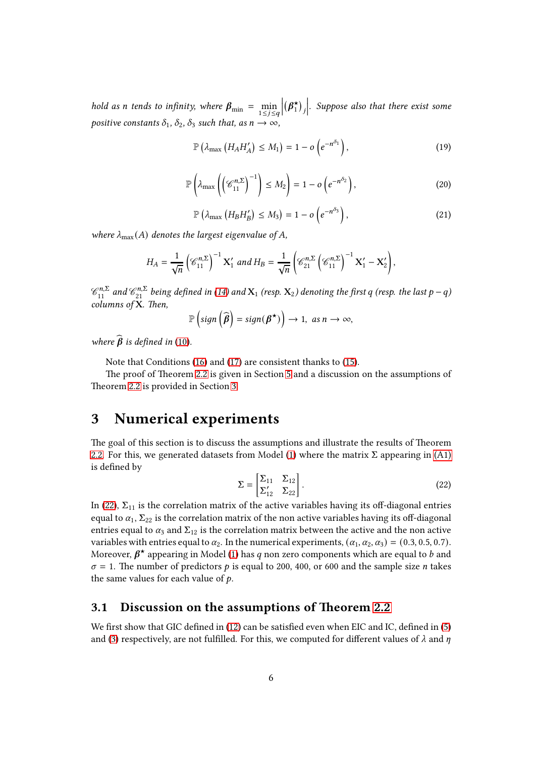<span id="page-5-3"></span>hold as *n* tends to infinity, where  $\beta_{\min} = \min_{1 \le j \le q}$  $\begin{array}{c} \n\downarrow \\ \n\downarrow \n\end{array}$  $(\beta_1^{\star}$  $_{1}^{\star}$ )<sub>j</sub>  $\vert$ . Suppose also that there exist some positive constants  $\delta_1$ ,  $\delta_2$ ,  $\delta_3$  such that, as  $n \to \infty$ ,

<span id="page-5-2"></span>
$$
\mathbb{P}\left(\lambda_{\max}\left(H_A H'_A\right) \leq M_1\right) = 1 - o\left(e^{-n^{\delta_1}}\right),\tag{19}
$$

$$
\mathbb{P}\left(\lambda_{\max}\left(\left(\mathscr{C}_{11}^{n,\Sigma}\right)^{-1}\right)\leq M_2\right)=1-o\left(e^{-n^{\delta_2}}\right),\tag{20}
$$

$$
\mathbb{P}\left(\lambda_{\max}\left(H_B H'_B\right) \leq M_3\right) = 1 - o\left(e^{-n^{\delta_3}}\right),\tag{21}
$$

<span id="page-5-4"></span>where  $\lambda_{\text{max}}(A)$  denotes the largest eigenvalue of A,

$$
H_A = \frac{1}{\sqrt{n}} \left( \mathcal{C}_{11}^{n,\Sigma} \right)^{-1} \mathbf{X}_1' \text{ and } H_B = \frac{1}{\sqrt{n}} \left( \mathcal{C}_{21}^{n,\Sigma} \left( \mathcal{C}_{11}^{n,\Sigma} \right)^{-1} \mathbf{X}_1' - \mathbf{X}_2' \right),
$$

 $\mathscr{C}_{11}^{n,\Sigma}$  and  $\mathscr{C}_{21}^{n,\Sigma}$  being defined in [\(14\)](#page-4-2) and  $\mathbf{X}_1$  (resp.  $\mathbf{X}_2$ ) denoting the first  $q$  (resp. the last  $p-q$ )  $columns$  of  $X$ . Then,

$$
\mathbb{P}\left(\text{sign}\left(\widehat{\boldsymbol{\beta}}\right)=\text{sign}(\boldsymbol{\beta}^\star)\right)\to 1, \text{ as } n\to\infty,
$$

where  $\widehat{\boldsymbol{\beta}}$  is defined in [\(10\)](#page-3-2).

Note that Conditions [\(16\)](#page-4-3) and [\(17\)](#page-4-4) are consistent thanks to [\(15\)](#page-4-5).

The proof of Theorem [2.2](#page-4-6) is given in Section [5](#page-8-0) and a discussion on the assumptions of Theorem [2.2](#page-4-6) is provided in Section [3.](#page-5-0)

### <span id="page-5-0"></span>3 Numerical experiments

<span id="page-5-1"></span>The goal of this section is to discuss the assumptions and illustrate the results of Theorem [2.2.](#page-4-6) For this, we generated datasets from Model [\(1\)](#page-1-1) where the matrix  $\Sigma$  appearing in [\(A1\)](#page-2-2) is defined by

$$
\Sigma = \begin{bmatrix} \Sigma_{11} & \Sigma_{12} \\ \Sigma'_{12} & \Sigma_{22} \end{bmatrix} . \tag{22}
$$

In [\(22\)](#page-5-1),  $\Sigma_{11}$  is the correlation matrix of the active variables having its off-diagonal entries equal to  $\alpha_1$ ,  $\Sigma_{22}$  is the correlation matrix of the non active variables having its off-diagonal entries equal to  $\alpha_3$  and  $\Sigma_{12}$  is the correlation matrix between the active and the non active variables with entries equal to  $\alpha_2$ . In the numerical experiments,  $(\alpha_1, \alpha_2, \alpha_3) = (0.3, 0.5, 0.7)$ . Moreover,  $\beta^{\star}$  appearing in Model [\(1\)](#page-1-1) has q non zero components which are equal to b and  $\sigma = 1$ . The number of predictors p is equal to 200, 400, or 600 and the sample size n takes the same values for each value of  $p$ .

#### 3.1 Discussion on the assumptions of Theorem [2.2](#page-4-6)

We first show that GIC defined in [\(12\)](#page-3-0) can be satisfied even when EIC and IC, defined in [\(5\)](#page-2-1) and [\(3\)](#page-1-0) respectively, are not fulfilled. For this, we computed for different values of  $\lambda$  and  $\eta$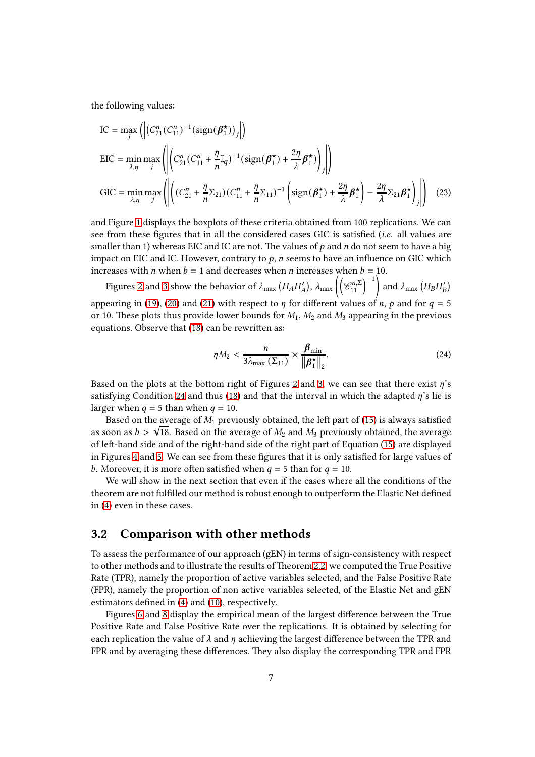the following values:

 $\overline{a}$ 

$$
IC = \max_{j} \left( \left| \left( C_{21}^{n} (C_{11}^{n})^{-1} (\text{sign}(\boldsymbol{\beta}_{1}^{*}))_{j} \right| \right) \right)
$$
  
\n
$$
EIC = \min_{\lambda, \eta} \max_{j} \left( \left| \left( C_{21}^{n} (C_{11}^{n} + \frac{\eta}{n} \mathbb{I}_{q})^{-1} (\text{sign}(\boldsymbol{\beta}_{1}^{*}) + \frac{2\eta}{\lambda} \boldsymbol{\beta}_{1}^{*}) \right)_{j} \right| \right)
$$
  
\n
$$
GIC = \min_{\lambda, \eta} \max_{j} \left( \left| \left( (C_{21}^{n} + \frac{\eta}{n} \Sigma_{21}) (C_{11}^{n} + \frac{\eta}{n} \Sigma_{11})^{-1} \left( \text{sign}(\boldsymbol{\beta}_{1}^{*}) + \frac{2\eta}{\lambda} \boldsymbol{\beta}_{1}^{*} \right) - \frac{2\eta}{\lambda} \Sigma_{21} \boldsymbol{\beta}_{1}^{*} \right) \right| \right) \quad (23)
$$

and Figure [1](#page-7-0) displays the boxplots of these criteria obtained from 100 replications. We can see from these figures that in all the considered cases GIC is satisfied *(i.e.* all values are smaller than 1) whereas EIC and IC are not. The values of  $p$  and  $n$  do not seem to have a big impact on EIC and IC. However, contrary to  $p$ ,  $n$  seems to have an influence on GIC which increases with *n* when  $b = 1$  and decreases when *n* increases when  $b = 10$ .

Figures [2](#page-8-1) and [3](#page-9-0) show the behavior of  $\lambda_{\text{max}}(H_A H'_A)$ ,  $\lambda_{\text{max}}((\mathcal{C}_{11}^{n,\Sigma})^{-1})$  and  $\lambda_{\text{max}}(H_B H'_B)$ appearing in [\(19\)](#page-5-2), [\(20\)](#page-5-3) and [\(21\)](#page-5-4) with respect to  $\eta$  for different values of  $n$ ,  $p$  and for  $q = 5$ or 10. These plots thus provide lower bounds for  $M_1$ ,  $M_2$  and  $M_3$  appearing in the previous equations. Observe that  $(18)$  can be rewritten as:

<span id="page-6-1"></span><span id="page-6-0"></span>
$$
\eta M_2 < \frac{n}{3\lambda_{\max}\left(\Sigma_{11}\right)} \times \frac{\beta_{\min}}{\left\|\beta_1^{\star}\right\|_2}.\tag{24}
$$

Based on the plots at the bottom right of Figures [2](#page-8-1) and [3,](#page-9-0) we can see that there exist  $\eta$ 's satisfying Condition [24](#page-6-0) and thus [\(18\)](#page-4-7) and that the interval in which the adapted  $\eta$ 's lie is larger when  $q = 5$  than when  $q = 10$ .

Based on the average of  $M_1$  previously obtained, the left part of [\(15\)](#page-4-5) is always satisfied as soon as  $b > \sqrt{18}$ . Based on the average of  $M_2$  and  $M_3$  previously obtained, the average of left-hand side and of the right-hand side of the right part of Equation [\(15\)](#page-4-5) are displayed in Figures [4](#page-9-1) and [5.](#page-10-0) We can see from these figures that it is only satisfied for large values of b. Moreover, it is more often satisfied when  $q = 5$  than for  $q = 10$ .

We will show in the next section that even if the cases where all the conditions of the theorem are not fulfilled our method is robust enough to outperform the Elastic Net defined in [\(4\)](#page-2-0) even in these cases.

#### 3.2 Comparison with other methods

To assess the performance of our approach (gEN) in terms of sign-consistency with respect to other methods and to illustrate the results of Theorem [2.2,](#page-4-6) we computed the True Positive Rate (TPR), namely the proportion of active variables selected, and the False Positive Rate (FPR), namely the proportion of non active variables selected, of the Elastic Net and gEN estimators defined in [\(4\)](#page-2-0) and [\(10\)](#page-3-2), respectively.

Figures [6](#page-11-0) and [8](#page-13-0) display the empirical mean of the largest difference between the True Positive Rate and False Positive Rate over the replications. It is obtained by selecting for each replication the value of  $\lambda$  and  $\eta$  achieving the largest difference between the TPR and FPR and by averaging these differences. They also display the corresponding TPR and FPR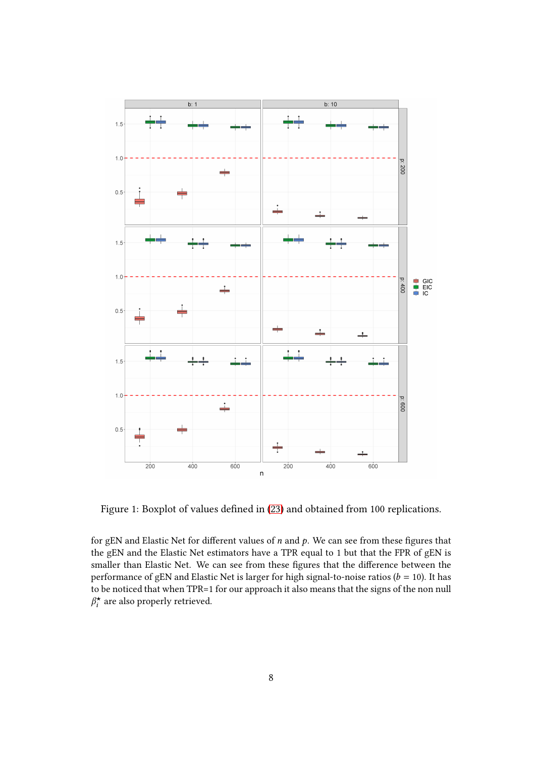

<span id="page-7-0"></span>Figure 1: Boxplot of values defined in [\(23\)](#page-6-1) and obtained from 100 replications.

for gEN and Elastic Net for different values of  $n$  and  $p$ . We can see from these figures that the gEN and the Elastic Net estimators have a TPR equal to 1 but that the FPR of gEN is smaller than Elastic Net. We can see from these figures that the difference between the performance of gEN and Elastic Net is larger for high signal-to-noise ratios ( $b = 10$ ). It has to be noticed that when TPR=1 for our approach it also means that the signs of the non null  $\beta_i^{\star}$  $\vec{a}_i^{\star}$  are also properly retrieved.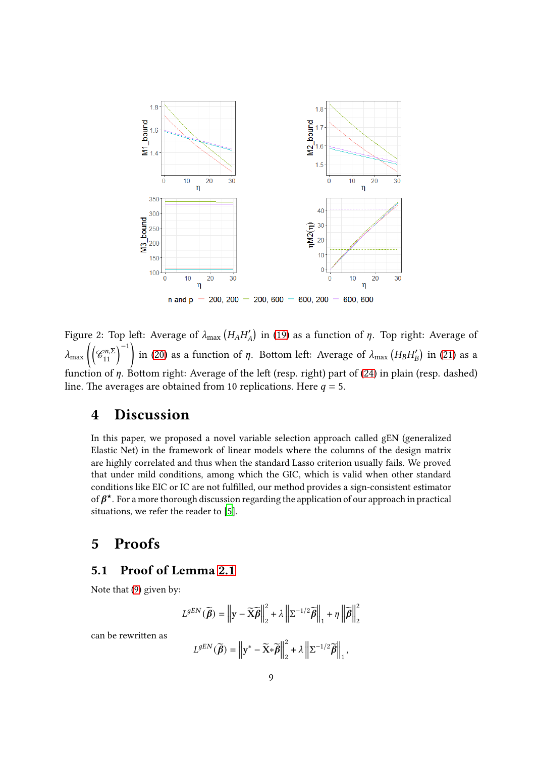

<span id="page-8-1"></span>Figure 2: Top left: Average of  $\lambda_{\max}\left(H_AH_A'\right)$  in [\(19\)](#page-5-2) as a function of  $\eta$ . Top right: Average of  $\lambda_{\max}\left(\left(\mathcal{C}_{11}^{n,\Sigma}\right)^{-1}\right)$  in [\(20\)](#page-5-3) as a function of  $\eta$ . Bottom left: Average of  $\lambda_{\max}\left(H_BH_B'\right)$  in [\(21\)](#page-5-4) as a function of  $\eta$ . Bottom right: Average of the left (resp. right) part of [\(24\)](#page-6-0) in plain (resp. dashed) line. The averages are obtained from 10 replications. Here  $q = 5$ .

### 4 Discussion

In this paper, we proposed a novel variable selection approach called gEN (generalized Elastic Net) in the framework of linear models where the columns of the design matrix are highly correlated and thus when the standard Lasso criterion usually fails. We proved that under mild conditions, among which the GIC, which is valid when other standard conditions like EIC or IC are not fulfilled, our method provides a sign-consistent estimator of  $\beta^\star$ . For a more thorough discussion regarding the application of our approach in practical situations, we refer the reader to [\[5](#page-20-4)].

## <span id="page-8-0"></span>5 Proofs

### 5.1 Proof of Lemma [2.1](#page-4-1)

Note that [\(9\)](#page-3-1) given by:

$$
L^{gEN}(\widetilde{\boldsymbol{\beta}}) = \left\| \mathbf{y} - \widetilde{\mathbf{X}} \widetilde{\boldsymbol{\beta}} \right\|_{2}^{2} + \lambda \left\| \Sigma^{-1/2} \widetilde{\boldsymbol{\beta}} \right\|_{1} + \eta \left\| \widetilde{\boldsymbol{\beta}} \right\|_{2}^{2}
$$

can be rewritten as

$$
L^{gEN}(\widetilde{\boldsymbol{\beta}}) = \left\| \mathbf{y}^* - \widetilde{\mathbf{X}} \ast \widetilde{\boldsymbol{\beta}} \right\|_2^2 + \lambda \left\| \Sigma^{-1/2} \widetilde{\boldsymbol{\beta}} \right\|_1,
$$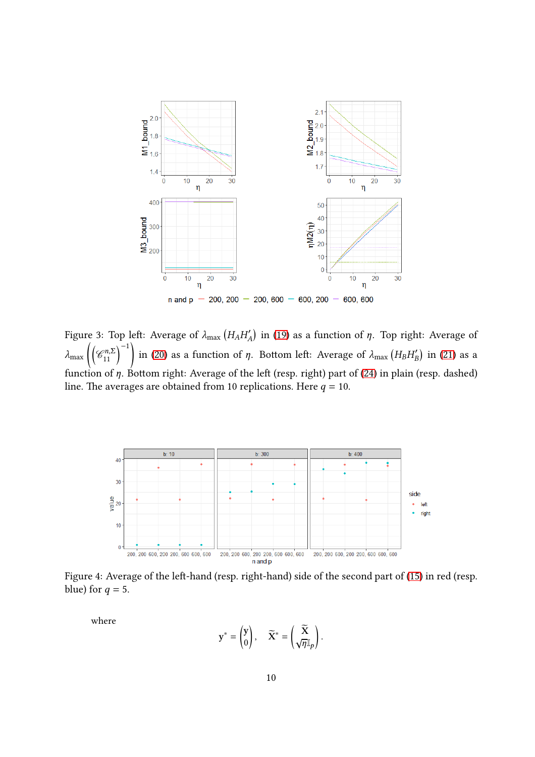

<span id="page-9-0"></span>Figure 3: Top left: Average of  $\lambda_{\max}\left(H_AH_A'\right)$  in [\(19\)](#page-5-2) as a function of  $\eta$ . Top right: Average of  $\lambda_{\rm max}$  $\left(\mathscr{C}_{11}^{n,\Sigma}\right)^{-1}$  $\overline{\phantom{a}}$ in [\(20\)](#page-5-3) as a function of  $\eta$ . Bottom left: Average of  $\lambda_{\max}\left(H_BH_B'\right)$  in [\(21\)](#page-5-4) as a function of  $\eta$ . Bottom right: Average of the left (resp. right) part of [\(24\)](#page-6-0) in plain (resp. dashed) line. The averages are obtained from 10 replications. Here  $q = 10$ .



Figure 4: Average of the left-hand (resp. right-hand) side of the second part of [\(15\)](#page-4-5) in red (resp. blue) for  $q = 5$ .

<span id="page-9-1"></span>where

$$
\mathbf{y}^* = \begin{pmatrix} \mathbf{y} \\ 0 \end{pmatrix}, \quad \widetilde{\mathbf{X}}^* = \begin{pmatrix} \widetilde{\mathbf{X}} \\ \sqrt{\eta} \mathbb{I}_p \end{pmatrix}.
$$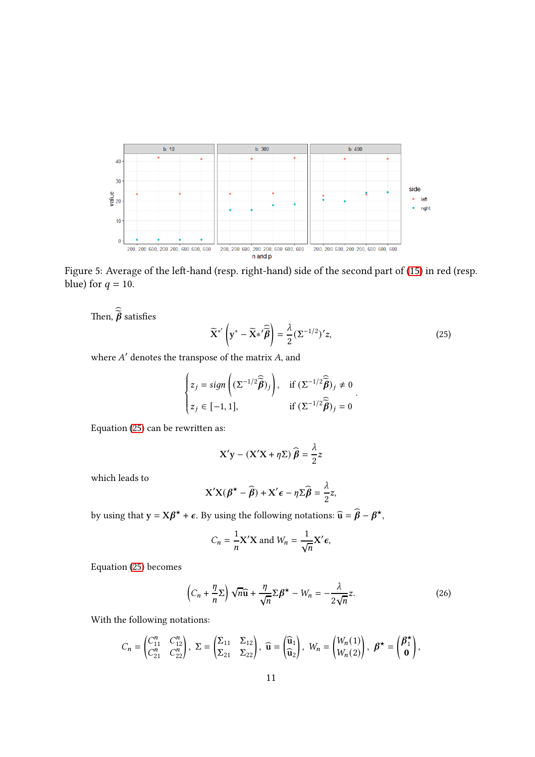

Figure 5: Average of the left-hand (resp. right-hand) side of the second part of [\(15\)](#page-4-5) in red (resp. blue) for  $q = 10$ .

<span id="page-10-0"></span>Then,  $\widehat{\widetilde{\pmb{\beta}}}$  satisfies

<span id="page-10-1"></span>
$$
\widetilde{\mathbf{X}}^{*'}\left(\mathbf{y}^* - \widetilde{\mathbf{X}}^{*'}\widehat{\widetilde{\boldsymbol{\beta}}}\right) = \frac{\lambda}{2}(\Sigma^{-1/2})'z,
$$
\n(25)

.

where  $A^\prime$  denotes the transpose of the matrix  $A,$  and

$$
\begin{cases} z_j = sign\left( (\Sigma^{-1/2} \widehat{\widehat{\boldsymbol{\beta}}})_j \right), & \text{if } (\Sigma^{-1/2} \widehat{\widehat{\boldsymbol{\beta}}})_j \neq 0 \\ z_j \in [-1, 1], & \text{if } (\Sigma^{-1/2} \widehat{\widehat{\boldsymbol{\beta}}})_j = 0 \end{cases}
$$

Equation  $(25)$  can be rewritten as:

$$
X'y - (X'X + \eta \Sigma) \widehat{\beta} = \frac{\lambda}{2}z
$$

which leads to

$$
\mathbf{X}'\mathbf{X}(\boldsymbol{\beta}^{\star} - \widehat{\boldsymbol{\beta}}) + \mathbf{X}'\boldsymbol{\epsilon} - \eta \boldsymbol{\Sigma}\widehat{\boldsymbol{\beta}} = \frac{\lambda}{2}\mathbf{z},
$$

by using that  $y = X\beta^* + \epsilon$ . By using the following notations:  $\widehat{u} = \widehat{\beta} - \beta^*$ ,

$$
C_n = \frac{1}{n} \mathbf{X}' \mathbf{X} \text{ and } W_n = \frac{1}{\sqrt{n}} \mathbf{X}' \boldsymbol{\epsilon},
$$

Equation [\(25\)](#page-10-1) becomes

<span id="page-10-2"></span>
$$
\left(C_n + \frac{\eta}{n}\Sigma\right)\sqrt{n}\widehat{\mathbf{u}} + \frac{\eta}{\sqrt{n}}\Sigma\beta^* - W_n = -\frac{\lambda}{2\sqrt{n}}z.
$$
 (26)

With the following notations:

$$
C_n = \begin{pmatrix} C_{11}^n & C_{12}^n \ C_{21}^n & C_{22}^n \end{pmatrix}, \ \Sigma = \begin{pmatrix} \Sigma_{11} & \Sigma_{12} \\ \Sigma_{21} & \Sigma_{22} \end{pmatrix}, \ \widehat{\mathbf{u}} = \begin{pmatrix} \widehat{\mathbf{u}}_1 \\ \widehat{\mathbf{u}}_2 \end{pmatrix}, \ W_n = \begin{pmatrix} W_n(1) \\ W_n(2) \end{pmatrix}, \ \boldsymbol{\beta}^{\star} = \begin{pmatrix} \boldsymbol{\beta}_1^{\star} \\ \mathbf{0} \end{pmatrix},
$$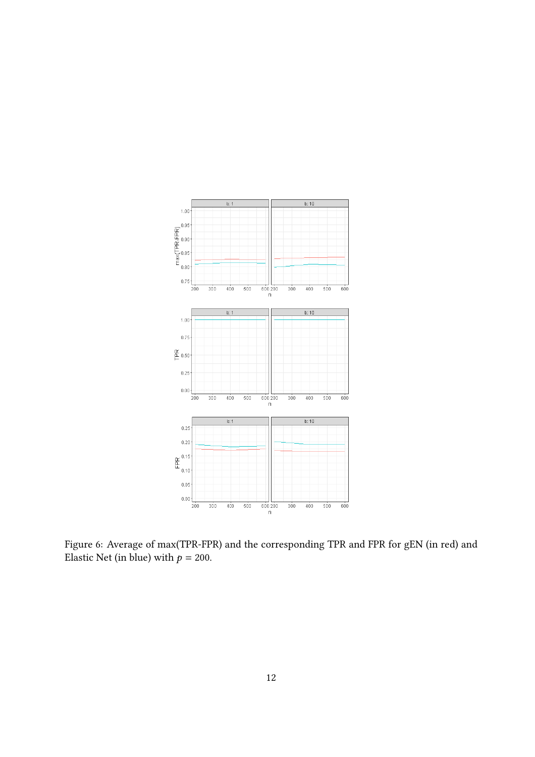

<span id="page-11-0"></span>Figure 6: Average of max(TPR-FPR) and the corresponding TPR and FPR for gEN (in red) and Elastic Net (in blue) with  $p = 200$ .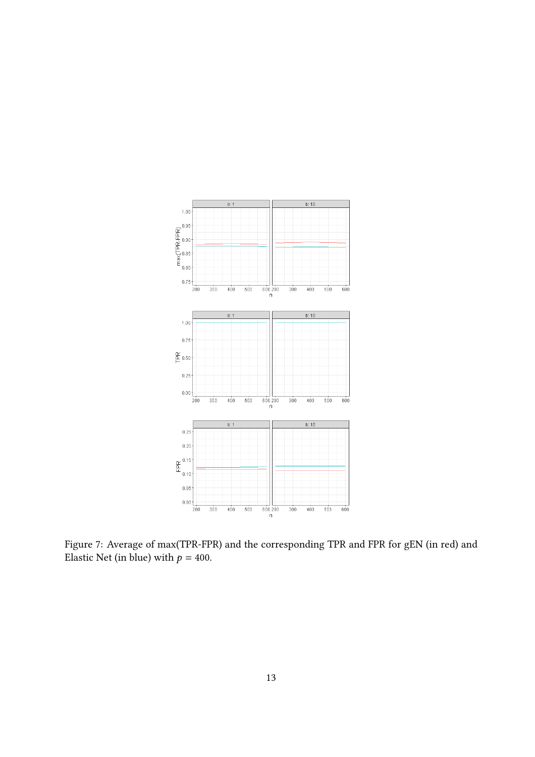

Figure 7: Average of max(TPR-FPR) and the corresponding TPR and FPR for gEN (in red) and Elastic Net (in blue) with  $p = 400$ .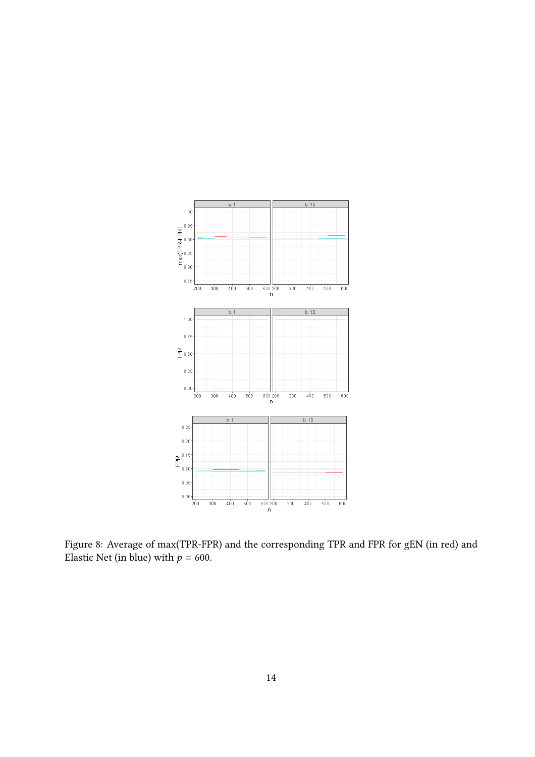

<span id="page-13-0"></span>Figure 8: Average of max(TPR-FPR) and the corresponding TPR and FPR for gEN (in red) and Elastic Net (in blue) with  $p = 600$ .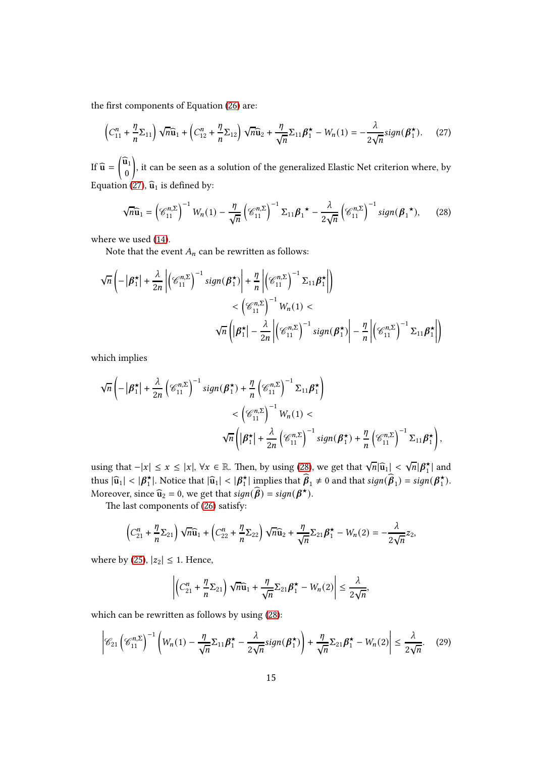the first components of Equation [\(26\)](#page-10-2) are:

<span id="page-14-0"></span>
$$
\left(C_{11}^n + \frac{\eta}{n} \Sigma_{11}\right) \sqrt{n} \widehat{\mathbf{u}}_1 + \left(C_{12}^n + \frac{\eta}{n} \Sigma_{12}\right) \sqrt{n} \widehat{\mathbf{u}}_2 + \frac{\eta}{\sqrt{n}} \Sigma_{11} \beta_1^{\star} - W_n(1) = -\frac{\lambda}{2\sqrt{n}} sign(\beta_1^{\star}).\tag{27}
$$

If  $\widehat{\mathbf{u}} = \begin{pmatrix} \widehat{\mathbf{u}}_1 \\ 0 \end{pmatrix}$  $\overline{ }$ , it can be seen as a solution of the generalized Elastic Net criterion where, by Equation [\(27\)](#page-14-0),  $\widehat{\mathbf{u}}_1$  is defined by:

<span id="page-14-1"></span>
$$
\sqrt{n}\widehat{\mathbf{u}}_1 = \left(\mathscr{C}_{11}^{n,\Sigma}\right)^{-1}W_n(1) - \frac{\eta}{\sqrt{n}}\left(\mathscr{C}_{11}^{n,\Sigma}\right)^{-1}\Sigma_{11}\boldsymbol{\beta}_1^{\star} - \frac{\lambda}{2\sqrt{n}}\left(\mathscr{C}_{11}^{n,\Sigma}\right)^{-1}\operatorname{sign}(\boldsymbol{\beta}_1^{\star}),\qquad(28)
$$

where we used [\(14\)](#page-4-2).

Note that the event  $A_n$  can be rewritten as follows:

$$
\sqrt{n}\left(-\left|\beta_{1}^{\star}\right|+\frac{\lambda}{2n}\left|\left(\mathcal{C}_{11}^{n,\Sigma}\right)^{-1}sign(\beta_{1}^{\star})\right|+\frac{\eta}{n}\left|\left(\mathcal{C}_{11}^{n,\Sigma}\right)^{-1}\Sigma_{11}\beta_{1}^{\star}\right|\right) <\left(\mathcal{C}_{11}^{n,\Sigma}\right)^{-1}W_{n}(1) \sqrt{n}\left(\left|\beta_{1}^{\star}\right|-\frac{\lambda}{2n}\left|\left(\mathcal{C}_{11}^{n,\Sigma}\right)^{-1}sign(\beta_{1}^{\star})\right|-\frac{\eta}{n}\left|\left(\mathcal{C}_{11}^{n,\Sigma}\right)^{-1}\Sigma_{11}\beta_{1}^{\star}\right|\right)
$$

which implies

$$
\sqrt{n}\left(-\left|\beta_{1}^{\star}\right|+\frac{\lambda}{2n}\left(\mathcal{C}_{11}^{n,\Sigma}\right)^{-1}sign(\beta_{1}^{\star})+\frac{\eta}{n}\left(\mathcal{C}_{11}^{n,\Sigma}\right)^{-1}\Sigma_{11}\beta_{1}^{\star}\right) <\left(\mathcal{C}_{11}^{n,\Sigma}\right)^{-1}W_{n}(1) \sqrt{n}\left(\left|\beta_{1}^{\star}\right|+\frac{\lambda}{2n}\left(\mathcal{C}_{11}^{n,\Sigma}\right)^{-1}sign(\beta_{1}^{\star})+\frac{\eta}{n}\left(\mathcal{C}_{11}^{n,\Sigma}\right)^{-1}\Sigma_{11}\beta_{1}^{\star}\right),
$$

using that  $-|x| \le x \le |x|$ ,  $\forall x \in \mathbb{R}$ . Then, by using [\(28\)](#page-14-1), we get that  $\sqrt{n}|\hat{u}_1| < \sqrt{n}|\beta_1^*|$  $\frac{\star}{1}$  and thus  $|\widehat{\mathbf{u}}_1| < |\boldsymbol{\beta}_1^{\star}|$  $\frac{\lambda}{1}$ . Notice that  $|\widehat{u}_1| < |\beta_1|$  $\hat{A}$ | implies that  $\hat{\boldsymbol{\beta}}_1 \neq 0$  and that  $sign(\hat{\boldsymbol{\beta}}_1) = sign(\boldsymbol{\beta}_1^{\star})$  $\binom{1}{1}$ . Moreover, since  $\widehat{\mathbf{u}}_2 = 0$ , we get that  $sign(\widehat{\boldsymbol{\beta}}) = sign(\boldsymbol{\beta}^\star)$ .

The last components of  $(26)$  satisfy:

$$
\left(C_{21}^n + \frac{\eta}{n} \Sigma_{21}\right) \sqrt{n} \widehat{\mathbf{u}}_1 + \left(C_{22}^n + \frac{\eta}{n} \Sigma_{22}\right) \sqrt{n} \widehat{\mathbf{u}}_2 + \frac{\eta}{\sqrt{n}} \Sigma_{21} \beta_1^{\star} - W_n(2) = -\frac{\lambda}{2\sqrt{n}} z_2,
$$

where by [\(25\)](#page-10-1),  $|z_2| \leq 1$ . Hence,

<span id="page-14-2"></span>
$$
\left| \left( C_{21}^n + \frac{\eta}{n} \Sigma_{21} \right) \sqrt{n} \widehat{\mathbf{u}}_1 + \frac{\eta}{\sqrt{n}} \Sigma_{21} \boldsymbol{\beta}_1^{\star} - W_n(2) \right| \leq \frac{\lambda}{2\sqrt{n}},
$$

which can be rewritten as follows by using  $(28)$ :

$$
\left| \mathcal{C}_{21} \left( \mathcal{C}_{11}^{n,\Sigma} \right)^{-1} \left( W_n(1) - \frac{\eta}{\sqrt{n}} \Sigma_{11} \beta_1^{\star} - \frac{\lambda}{2\sqrt{n}} sign(\beta_1^{\star}) \right) + \frac{\eta}{\sqrt{n}} \Sigma_{21} \beta_1^{\star} - W_n(2) \right| \le \frac{\lambda}{2\sqrt{n}}. \tag{29}
$$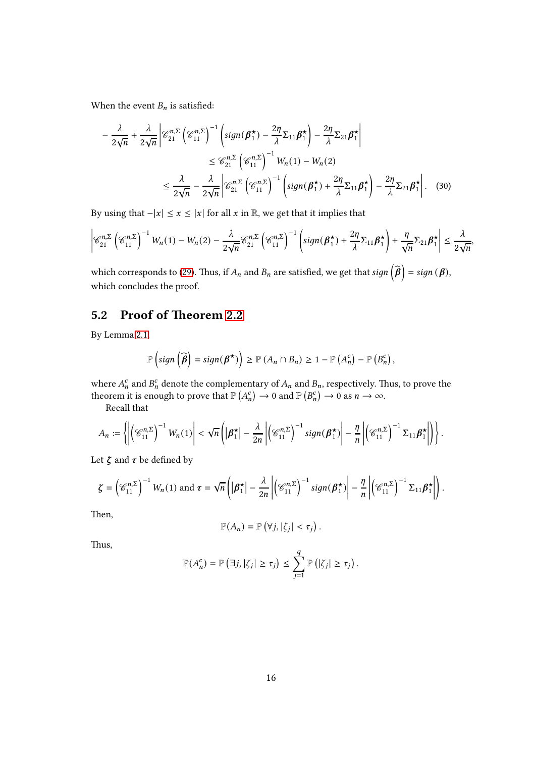When the event  $B_n$  is satisfied:

$$
-\frac{\lambda}{2\sqrt{n}} + \frac{\lambda}{2\sqrt{n}} \left| \mathcal{C}_{21}^{n,\Sigma} \left( \mathcal{C}_{11}^{n,\Sigma} \right)^{-1} \left( sign(\beta_1^{\star}) - \frac{2\eta}{\lambda} \Sigma_{11} \beta_1^{\star} \right) - \frac{2\eta}{\lambda} \Sigma_{21} \beta_1^{\star} \right|
$$
  
\n
$$
\leq \mathcal{C}_{21}^{n,\Sigma} \left( \mathcal{C}_{11}^{n,\Sigma} \right)^{-1} W_n(1) - W_n(2)
$$
  
\n
$$
\leq \frac{\lambda}{2\sqrt{n}} - \frac{\lambda}{2\sqrt{n}} \left| \mathcal{C}_{21}^{n,\Sigma} \left( \mathcal{C}_{11}^{n,\Sigma} \right)^{-1} \left( sign(\beta_1^{\star}) + \frac{2\eta}{\lambda} \Sigma_{11} \beta_1^{\star} \right) - \frac{2\eta}{\lambda} \Sigma_{21} \beta_1^{\star} \right|. \quad (30)
$$

By using that  $-|x| \le x \le |x|$  for all  $x$  in  $\mathbb{R}$ , we get that it implies that

$$
\left|\mathscr{C}_{21}^{n,\Sigma}\left(\mathscr{C}_{11}^{n,\Sigma}\right)^{-1}W_n(1)-W_n(2)-\frac{\lambda}{2\sqrt{n}}\mathscr{C}_{21}^{n,\Sigma}\left(\mathscr{C}_{11}^{n,\Sigma}\right)^{-1}\left(\operatorname{sign}(\beta_1^{\star})+\frac{2\eta}{\lambda}\Sigma_{11}\beta_1^{\star}\right)+\frac{\eta}{\sqrt{n}}\Sigma_{21}\beta_1^{\star}\right|\leq\frac{\lambda}{2\sqrt{n}},
$$

which corresponds to [\(29\)](#page-14-2). Thus, if  $A_n$  and  $B_n$  are satisfied, we get that  $sign\left(\widehat{\bm{\beta}}\right) = sign\left(\bm{\beta}\right)$ , which concludes the proof.

## 5.2 Proof of Theorem [2.2](#page-4-6)

By Lemma [2.1,](#page-4-1)

$$
\mathbb{P}\left(\text{sign}\left(\widehat{\boldsymbol{\beta}}\right)=\text{sign}(\boldsymbol{\beta}^\star)\right)\geq \mathbb{P}\left(A_n\cap B_n\right)\geq 1-\mathbb{P}\left(A_n^c\right)-\mathbb{P}\left(B_n^c\right),
$$

where  $A_n^c$  and  $B_n^c$  denote the complementary of  $A_n$  and  $B_n$ , respectively. Thus, to prove the theorem it is enough to prove that  $\mathbb{P}(A_n^c) \to 0$  and  $\mathbb{P}(B_n^c) \to 0$  as  $n \to \infty$ .

Recall that

$$
A_n := \left\{ \left| \left( \mathcal{C}_{11}^{n,\Sigma} \right)^{-1} W_n(1) \right| < \sqrt{n} \left( \left| \boldsymbol{\beta}_1^{\star} \right| - \frac{\lambda}{2n} \left| \left( \mathcal{C}_{11}^{n,\Sigma} \right)^{-1} sign(\boldsymbol{\beta}_1^{\star}) \right| - \frac{\eta}{n} \left| \left( \mathcal{C}_{11}^{n,\Sigma} \right)^{-1} \Sigma_{11} \boldsymbol{\beta}_1^{\star} \right| \right) \right\}.
$$

Let  $\zeta$  and  $\tau$  be defined by

$$
\zeta = \left(\mathscr{C}_{11}^{n,\Sigma}\right)^{-1} W_n(1) \text{ and } \tau = \sqrt{n} \left( \left|\beta_1^{\star}\right| - \frac{\lambda}{2n} \left| \left(\mathscr{C}_{11}^{n,\Sigma}\right)^{-1} sign(\beta_1^{\star}) \right| - \frac{\eta}{n} \left| \left(\mathscr{C}_{11}^{n,\Sigma}\right)^{-1} \Sigma_{11} \beta_1^{\star} \right| \right).
$$

Then,

$$
\mathbb{P}(A_n) = \mathbb{P}(\forall j, |\zeta_j| < \tau_j).
$$

Thus,

$$
\mathbb{P}(A_n^c) = \mathbb{P}\left(\exists j, |\zeta_j| \geq \tau_j\right) \leq \sum_{j=1}^q \mathbb{P}\left(|\zeta_j| \geq \tau_j\right).
$$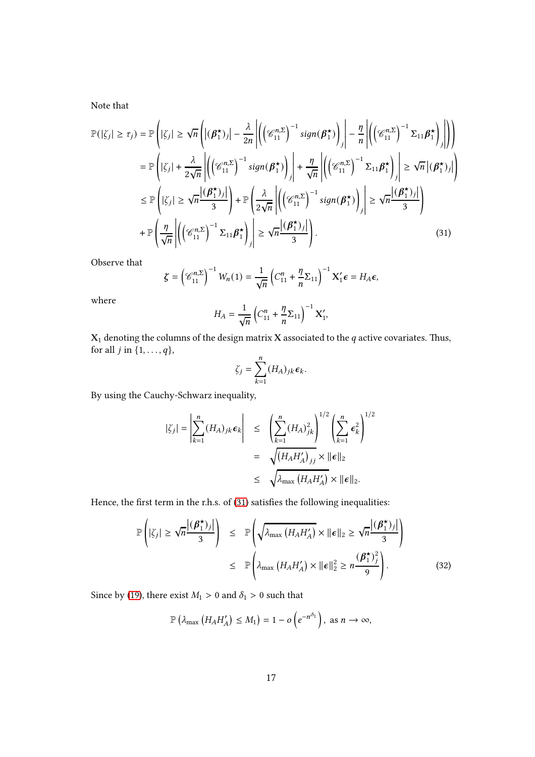Note that

$$
\mathbb{P}(|\zeta_j| \geq \tau_j) = \mathbb{P}\left(|\zeta_j| \geq \sqrt{n} \left( |(\boldsymbol{\beta}_1^{\star})_j| - \frac{\lambda}{2n} \left| \left( \left(\mathscr{C}_{11}^{n,\Sigma}\right)^{-1} sign(\boldsymbol{\beta}_1^{\star}) \right)_j \right| - \frac{\eta}{n} \left| \left( \left(\mathscr{C}_{11}^{n,\Sigma}\right)^{-1} \Sigma_{11} \boldsymbol{\beta}_1^{\star} \right)_j \right| \right) \right)
$$
\n
$$
= \mathbb{P}\left(|\zeta_j| + \frac{\lambda}{2\sqrt{n}} \left| \left( \left(\mathscr{C}_{11}^{n,\Sigma}\right)^{-1} sign(\boldsymbol{\beta}_1^{\star}) \right)_j \right| + \frac{\eta}{\sqrt{n}} \left| \left( \left(\mathscr{C}_{11}^{n,\Sigma}\right)^{-1} \Sigma_{11} \boldsymbol{\beta}_1^{\star} \right)_j \right| \geq \sqrt{n} \left| (\boldsymbol{\beta}_1^{\star})_j \right| \right)
$$
\n
$$
\leq \mathbb{P}\left(|\zeta_j| \geq \sqrt{n} \frac{|\boldsymbol{\beta}_1^{\star})_j|}{3} \right) + \mathbb{P}\left(\frac{\lambda}{2\sqrt{n}} \left| \left( \left(\mathscr{C}_{11}^{n,\Sigma}\right)^{-1} sign(\boldsymbol{\beta}_1^{\star}) \right)_j \right| \geq \sqrt{n} \frac{|\boldsymbol{\beta}_1^{\star})_j|}{3} \right)
$$
\n
$$
+ \mathbb{P}\left(\frac{\eta}{\sqrt{n}} \left| \left( \left(\mathscr{C}_{11}^{n,\Sigma}\right)^{-1} \Sigma_{11} \boldsymbol{\beta}_1^{\star} \right)_j \right| \geq \sqrt{n} \frac{|\boldsymbol{\beta}_1^{\star})_j|}{3} \right). \tag{31}
$$

Observe that

$$
\zeta = \left(\mathscr{C}_{11}^{n,\Sigma}\right)^{-1} W_n(1) = \frac{1}{\sqrt{n}} \left(C_{11}^n + \frac{\eta}{n} \Sigma_{11}\right)^{-1} X_1' \epsilon = H_A \epsilon,
$$

where

<span id="page-16-0"></span>
$$
H_A = \frac{1}{\sqrt{n}} \left( C_{11}^n + \frac{\eta}{n} \Sigma_{11} \right)^{-1} \mathbf{X}'_1,
$$

 $\mathbf{X}_1$  denoting the columns of the design matrix  $\mathbf X$  associated to the  $q$  active covariates. Thus, for all  $j$  in  $\{1, \ldots, q\}$ ,

$$
\zeta_j = \sum_{k=1}^n (H_A)_{jk} \epsilon_k.
$$

By using the Cauchy-Schwarz inequality,

$$
|\zeta_j| = \left| \sum_{k=1}^n (H_A)_{jk} \epsilon_k \right| \le \left( \sum_{k=1}^n (H_A)_{jk}^2 \right)^{1/2} \left( \sum_{k=1}^n \epsilon_k^2 \right)^{1/2}
$$

$$
= \sqrt{\left( H_A H_A' \right)_{jj} \times ||\epsilon||_2}
$$

$$
\le \sqrt{\lambda_{\text{max}} (H_A H_A') \times ||\epsilon||_2}.
$$

Hence, the first term in the r.h.s. of [\(31\)](#page-16-0) satisfies the following inequalities:

<span id="page-16-1"></span>
$$
\mathbb{P}\left(|\zeta_j| \geq \sqrt{n} \frac{|(\boldsymbol{\beta}_1^{\star})_j|}{3}\right) \leq \mathbb{P}\left(\sqrt{\lambda_{\max}\left(H_A H'_A\right)} \times \|\boldsymbol{\epsilon}\|_2 \geq \sqrt{n} \frac{|(\boldsymbol{\beta}_1^{\star})_j|}{3}\right)
$$

$$
\leq \mathbb{P}\left(\lambda_{\max}\left(H_A H'_A\right) \times \|\boldsymbol{\epsilon}\|_2^2 \geq n \frac{(\boldsymbol{\beta}_1^{\star})_j^2}{9}\right).
$$
(32)

Since by [\(19\)](#page-5-2), there exist  $M_1 > 0$  and  $\delta_1 > 0$  such that

$$
\mathbb{P}\left(\lambda_{\max}\left(H_A H'_A\right) \leq M_1\right) = 1 - o\left(e^{-n^{\delta_1}}\right), \text{ as } n \to \infty,
$$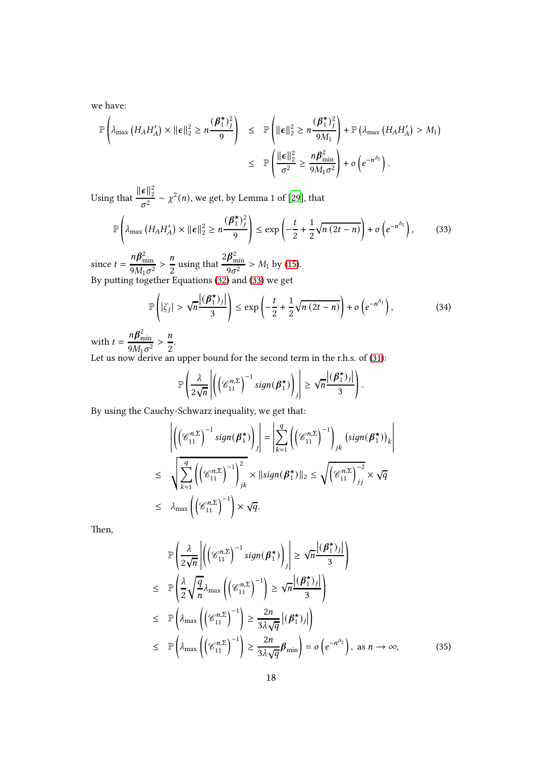we have:

$$
\mathbb{P}\left(\lambda_{\max}\left(H_A H'_A\right) \times \|\boldsymbol{\epsilon}\|_2^2 \geq n \frac{(\boldsymbol{\beta}_1^{\star})_j^2}{9}\right) \leq \mathbb{P}\left(\|\boldsymbol{\epsilon}\|_2^2 \geq n \frac{(\boldsymbol{\beta}_1^{\star})_j^2}{9M_1}\right) + \mathbb{P}\left(\lambda_{\max}\left(H_A H'_A\right) > M_1\right)
$$

$$
\leq \mathbb{P}\left(\frac{\|\boldsymbol{\epsilon}\|_2^2}{\sigma^2} \geq \frac{n \boldsymbol{\beta}_{\min}^2}{9M_1 \sigma^2}\right) + o\left(e^{-n^{\delta_1}}\right).
$$

Using that  $\frac{\|\boldsymbol{\epsilon}\|_2^2}{2}$  $\frac{\mathbf{c}_{12}}{\sigma^2} \sim \chi^2(n)$ , we get, by Lemma 1 of [\[29](#page-22-3)], that

$$
\mathbb{P}\left(\lambda_{\max}\left(H_A H'_A\right) \times \|\boldsymbol{\epsilon}\|_2^2 \ge n \frac{(\boldsymbol{\beta}_1^{\star})_j^2}{9}\right) \le \exp\left(-\frac{t}{2} + \frac{1}{2}\sqrt{n\left(2t - n\right)}\right) + o\left(e^{-n^{\delta_1}}\right),\tag{33}
$$

since  $t = \frac{n\beta_{\min}^2}{2M}$  $\frac{n\beta_{\min}^2}{9M_1\sigma^2} > \frac{n}{2}$  $\frac{\pi}{2}$  using that  $2{\boldsymbol{\beta}}_{\min}^2$  $\frac{P_{\min}}{9\sigma^2} > M_1$  by [\(15\)](#page-4-5). By putting together Equations [\(32\)](#page-16-1) and [\(33\)](#page-17-0) we get

<span id="page-17-1"></span><span id="page-17-0"></span>
$$
\mathbb{P}\left(|\zeta_j| > \sqrt{n}\frac{|(\boldsymbol{\beta}_1^{\star})_j|}{3}\right) \le \exp\left(-\frac{t}{2} + \frac{1}{2}\sqrt{n(2t - n)}\right) + o\left(e^{-n^{\delta_1}}\right),\tag{34}
$$

I İ ╿ I İ

with  $t = \frac{n\beta_{\min}^2}{2M}$  $\frac{n\beta_{\min}^2}{9M_1\sigma^2} > \frac{n}{2}$  $\frac{1}{2}$ .

Let us now derive an upper bound for the second term in the r.h.s. of [\(31\)](#page-16-0):

$$
\mathbb{P}\left(\frac{\lambda}{2\sqrt{n}}\left|\left(\left(\mathscr{C}_{11}^{n,\Sigma}\right)^{-1}sign(\beta_1^{\star})\right)_j\right| \geq \sqrt{n}\frac{|\left(\beta_1^{\star}\right)_j|}{3}\right).
$$

By using the Cauchy-Schwarz inequality, we get that:

$$
\left| \left( \left( \mathcal{C}_{11}^{n,\Sigma} \right)^{-1} sign(\boldsymbol{\beta}_{1}^{\star}) \right)_{j} \right| = \left| \sum_{k=1}^{q} \left( \left( \mathcal{C}_{11}^{n,\Sigma} \right)^{-1} \right)_{jk} (sign(\boldsymbol{\beta}_{1}^{\star}))_{k}
$$
\n
$$
\leq \sqrt{\sum_{k=1}^{q} \left( \left( \mathcal{C}_{11}^{n,\Sigma} \right)^{-1} \right)_{jk}^{2}} \times \|\text{sign}(\boldsymbol{\beta}_{1}^{\star})\|_{2} \leq \sqrt{\left( \mathcal{C}_{11}^{n,\Sigma} \right)_{jj}^{2}} \times \sqrt{q}
$$
\n
$$
\leq \lambda_{\max} \left( \left( \mathcal{C}_{11}^{n,\Sigma} \right)^{-1} \right) \times \sqrt{q}.
$$

Then,

<span id="page-17-2"></span>
$$
\mathbb{P}\left(\frac{\lambda}{2\sqrt{n}}\left|\left(\left(\mathscr{C}_{11}^{n,\Sigma}\right)^{-1}\operatorname{sign}(\beta_1^{\star})\right)_j\right|\geq \sqrt{n}\frac{|\left(\beta_1^{\star}\right)_j|}{3}\right)
$$
\n
$$
\leq \mathbb{P}\left(\frac{\lambda}{2}\sqrt{\frac{q}{n}}\lambda_{\max}\left(\left(\mathscr{C}_{11}^{n,\Sigma}\right)^{-1}\right)\geq \sqrt{n}\frac{|\left(\beta_1^{\star}\right)_j|}{3}\right)
$$
\n
$$
\leq \mathbb{P}\left(\lambda_{\max}\left(\left(\mathscr{C}_{11}^{n,\Sigma}\right)^{-1}\right)\geq \frac{2n}{3\lambda\sqrt{q}}\left| \left(\beta_1^{\star}\right)_j\right|\right)
$$
\n
$$
\leq \mathbb{P}\left(\lambda_{\max}\left(\left(\mathscr{C}_{11}^{n,\Sigma}\right)^{-1}\right)\geq \frac{2n}{3\lambda\sqrt{q}}\beta_{\min}\right)=o\left(e^{-n^{\delta_2}}\right), \text{ as } n\to\infty,
$$
\n(35)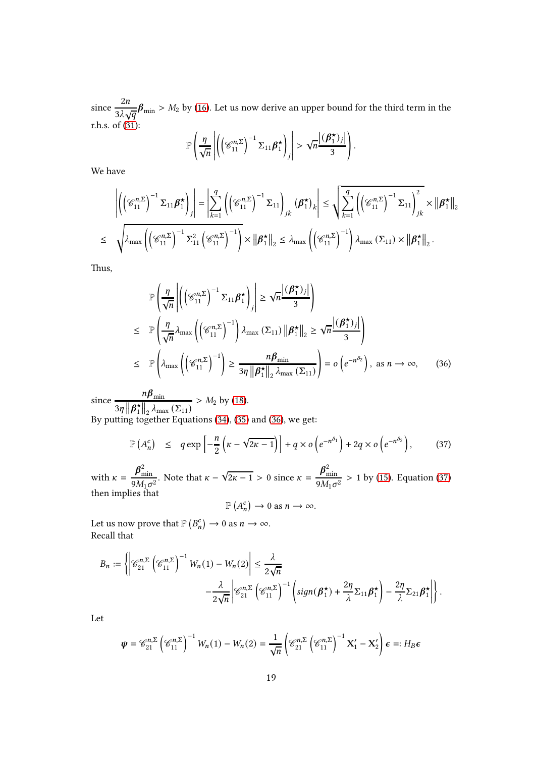since  $\frac{2n}{2}$  $\frac{2n}{3\lambda\sqrt{q}}$  $\beta_{\min} > M_2$  by [\(16\)](#page-4-3). Let us now derive an upper bound for the third term in the r.h.s. of  $(31)$ :

$$
\mathbb{P}\left(\frac{\eta}{\sqrt{n}}\left|\left(\left(\mathscr{C}_{11}^{n,\Sigma}\right)^{-1}\Sigma_{11}\beta_1^{\star}\right)_j\right|>\sqrt{n}\frac{|\left(\beta_1^{\star}\right)_j|}{3}\right).
$$

We have

$$
\left| \left( \left( \mathcal{C}_{11}^{n,\Sigma} \right)^{-1} \Sigma_{11} \beta_{1}^{\star} \right)_{j} \right| = \left| \sum_{k=1}^{q} \left( \left( \mathcal{C}_{11}^{n,\Sigma} \right)^{-1} \Sigma_{11} \right)_{jk} \left( \beta_{1}^{\star} \right)_{k} \right| \leq \sqrt{\sum_{k=1}^{q} \left( \left( \mathcal{C}_{11}^{n,\Sigma} \right)^{-1} \Sigma_{11} \right)_{jk}} \times \left\| \beta_{1}^{\star} \right\|_{2}
$$
  
 
$$
\leq \sqrt{\lambda_{\max} \left( \left( \mathcal{C}_{11}^{n,\Sigma} \right)^{-1} \Sigma_{11}^{2} \left( \mathcal{C}_{11}^{n,\Sigma} \right)^{-1} \right)} \times \left\| \beta_{1}^{\star} \right\|_{2} \leq \lambda_{\max} \left( \left( \mathcal{C}_{11}^{n,\Sigma} \right)^{-1} \right) \lambda_{\max} \left( \Sigma_{11} \right) \times \left\| \beta_{1}^{\star} \right\|_{2} .
$$

Thus,

<span id="page-18-0"></span>
$$
\mathbb{P}\left(\frac{\eta}{\sqrt{n}}\left|\left(\left(\mathscr{C}_{11}^{n,\Sigma}\right)^{-1}\Sigma_{11}\beta_{1}^{\star}\right)_{j}\right| \geq \sqrt{n}\frac{|\left(\beta_{1}^{\star}\right)_{j}|}{3}\right)
$$
\n
$$
\leq \mathbb{P}\left(\frac{\eta}{\sqrt{n}}\lambda_{\max}\left(\left(\mathscr{C}_{11}^{n,\Sigma}\right)^{-1}\right)\lambda_{\max}\left(\Sigma_{11}\right)\left\|\beta_{1}^{\star}\right\|_{2} \geq \sqrt{n}\frac{\left|\left(\beta_{1}^{\star}\right)_{j}\right|}{3}\right)
$$
\n
$$
\leq \mathbb{P}\left(\lambda_{\max}\left(\left(\mathscr{C}_{11}^{n,\Sigma}\right)^{-1}\right) \geq \frac{n\beta_{\min}}{3\eta\left\|\beta_{1}^{\star}\right\|_{2}\lambda_{\max}\left(\Sigma_{11}\right)}\right) = o\left(e^{-n^{\delta_{2}}}\right), \text{ as } n \to \infty, \quad (36)
$$

since  $\frac{n\beta_{\min}}{n}$  $3\eta \|\boldsymbol{\beta}_1^{\star}$  $\frac{\star}{1}$ ||<sub>2</sub>  $\lambda_{\text{max}}(\Sigma_{11})$  $> M_2$  by [\(18\)](#page-4-7). By putting together Equations [\(34\)](#page-17-1), [\(35\)](#page-17-2) and [\(36\)](#page-18-0), we get:

<span id="page-18-1"></span>
$$
\mathbb{P}\left(A_n^c\right) \leq q \exp\left[-\frac{n}{2}\left(\kappa - \sqrt{2\kappa - 1}\right)\right] + q \times o\left(e^{-n^{\delta_1}}\right) + 2q \times o\left(e^{-n^{\delta_2}}\right),\tag{37}
$$

with  $\kappa = \frac{\beta_{\min}^2}{2M}$  $\frac{\beta_{\min}^2}{9M_1\sigma^2}$ . Note that  $\kappa - \sqrt{2\kappa - 1} > 0$  since  $\kappa = \frac{\beta_{\min}^2}{9M_1\sigma}$  $\frac{\mu_{\text{min}}}{9M_1\sigma^2} > 1$  by [\(15\)](#page-4-5). Equation [\(37\)](#page-18-1) then implies that

$$
\mathbb{P}\left(A_n^c\right) \to 0 \text{ as } n \to \infty.
$$

Let us now prove that  $\mathbb{P}\left(B_n^c\right) \to 0$  as  $n \to \infty$ . Recall that

$$
B_n := \left\{ \left| \mathcal{C}_{21}^{n,\Sigma} \left( \mathcal{C}_{11}^{n,\Sigma} \right)^{-1} W_n(1) - W_n(2) \right| \leq \frac{\lambda}{2\sqrt{n}} - \frac{\lambda}{2\sqrt{n}} \left| \mathcal{C}_{21}^{n,\Sigma} \left( \mathcal{C}_{11}^{n,\Sigma} \right)^{-1} \left( sign(\beta_1^{\star}) + \frac{2\eta}{\lambda} \Sigma_{11} \beta_1^{\star} \right) - \frac{2\eta}{\lambda} \Sigma_{21} \beta_1^{\star} \right| \right\}.
$$

Let

$$
\boldsymbol{\psi} = \mathcal{C}_{21}^{n,\Sigma} \left( \mathcal{C}_{11}^{n,\Sigma} \right)^{-1} W_n(1) - W_n(2) = \frac{1}{\sqrt{n}} \left( \mathcal{C}_{21}^{n,\Sigma} \left( \mathcal{C}_{11}^{n,\Sigma} \right)^{-1} \mathbf{X}_1' - \mathbf{X}_2' \right) \boldsymbol{\epsilon} =: H_B \boldsymbol{\epsilon}
$$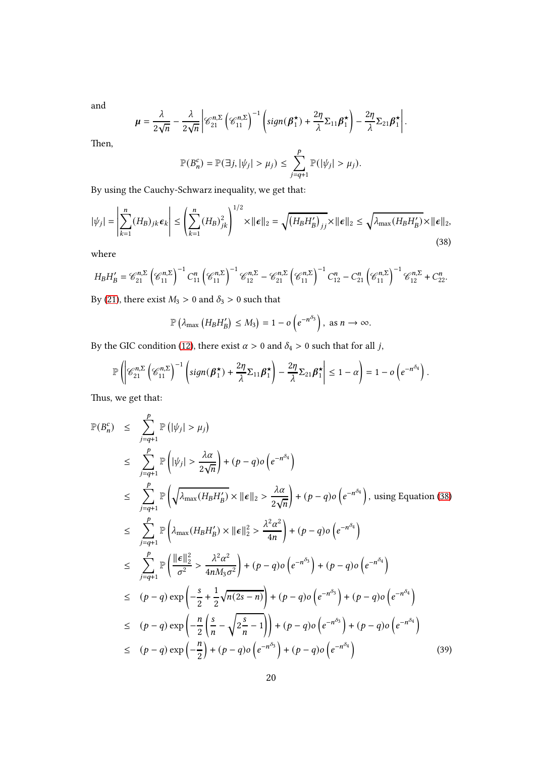and

$$
\mu = \frac{\lambda}{2\sqrt{n}} - \frac{\lambda}{2\sqrt{n}} \left| \mathcal{C}_{21}^{n,\Sigma} \left( \mathcal{C}_{11}^{n,\Sigma} \right)^{-1} \left( sign(\boldsymbol{\beta}_1^{\star}) + \frac{2\eta}{\lambda} \Sigma_{11} \boldsymbol{\beta}_1^{\star} \right) - \frac{2\eta}{\lambda} \Sigma_{21} \boldsymbol{\beta}_1^{\star} \right|.
$$

Then,

<span id="page-19-0"></span>
$$
\mathbb{P}(B_n^c) = \mathbb{P}(\exists j, |\psi_j| > \mu_j) \le \sum_{j=q+1}^p \mathbb{P}(|\psi_j| > \mu_j).
$$

By using the Cauchy-Schwarz inequality, we get that:

$$
|\psi_j| = \left| \sum_{k=1}^n (H_B)_{jk} \epsilon_k \right| \le \left( \sum_{k=1}^n (H_B)_{jk}^2 \right)^{1/2} \times ||\epsilon||_2 = \sqrt{\left( H_B H_B' \right)_{jj}} \times ||\epsilon||_2 \le \sqrt{\lambda_{\max} (H_B H_B')} \times ||\epsilon||_2,
$$
\n(38)

where

$$
H_B H'_B = \mathcal{C}_{21}^{n,\Sigma} \left( \mathcal{C}_{11}^{n,\Sigma} \right)^{-1} C_{11}^n \left( \mathcal{C}_{11}^{n,\Sigma} \right)^{-1} \mathcal{C}_{12}^{n,\Sigma} - \mathcal{C}_{21}^{n,\Sigma} \left( \mathcal{C}_{11}^{n,\Sigma} \right)^{-1} C_{12}^n - C_{21}^n \left( \mathcal{C}_{11}^{n,\Sigma} \right)^{-1} \mathcal{C}_{12}^{n,\Sigma} + C_{22}^n.
$$

By [\(21\)](#page-5-4), there exist  $M_3 > 0$  and  $\delta_3 > 0$  such that

$$
\mathbb{P}\left(\lambda_{\max}\left(H_B H'_B\right) \leq M_3\right) = 1 - o\left(e^{-n^{\delta_3}}\right), \text{ as } n \to \infty.
$$

By the GIC condition [\(12\)](#page-3-0), there exist  $\alpha > 0$  and  $\delta_4 > 0$  such that for all j,

$$
\mathbb{P}\left(\left|\mathscr{C}_{21}^{n,\Sigma}\left(\mathscr{C}_{11}^{n,\Sigma}\right)^{-1}\left(\text{sign}(\beta_1^{\star})+\frac{2\eta}{\lambda}\Sigma_{11}\beta_1^{\star}\right)-\frac{2\eta}{\lambda}\Sigma_{21}\beta_1^{\star}\right|\leq 1-\alpha\right)=1-o\left(e^{-n^{\delta_4}}\right).
$$

Thus, we get that:

<span id="page-19-1"></span>
$$
\mathbb{P}(B_n^c) \leq \sum_{j=q+1}^p \mathbb{P}(|\psi_j| > \mu_j)
$$
\n
$$
\leq \sum_{j=q+1}^p \mathbb{P}(|\psi_j| > \frac{\lambda \alpha}{2\sqrt{n}}) + (p-q) o(e^{-n^{\delta_4}})
$$
\n
$$
\leq \sum_{j=q+1}^p \mathbb{P}(\sqrt{\lambda_{\max}(H_B H_B')} \times ||\epsilon||_2 > \frac{\lambda \alpha}{2\sqrt{n}}) + (p-q) o(e^{-n^{\delta_4}}), \text{ using Equation (38)}
$$
\n
$$
\leq \sum_{j=q+1}^p \mathbb{P}(\lambda_{\max}(H_B H_B') \times ||\epsilon||_2^2 > \frac{\lambda^2 \alpha^2}{4n}) + (p-q) o(e^{-n^{\delta_4}})
$$
\n
$$
\leq \sum_{j=q+1}^p \mathbb{P}(\frac{||\epsilon||_2^2}{\sigma^2} > \frac{\lambda^2 \alpha^2}{4nM_3 \sigma^2}) + (p-q) o(e^{-n^{\delta_3}}) + (p-q) o(e^{-n^{\delta_4}})
$$
\n
$$
\leq (p-q) \exp\left(-\frac{s}{2} + \frac{1}{2}\sqrt{n(2s-n)}\right) + (p-q) o(e^{-n^{\delta_3}}) + (p-q) o(e^{-n^{\delta_4}})
$$
\n
$$
\leq (p-q) \exp\left(-\frac{n}{2}\left(\frac{s}{n} - \sqrt{2\frac{s}{n} - 1}\right)\right) + (p-q) o(e^{-n^{\delta_3}}) + (p-q) o(e^{-n^{\delta_4}})
$$
\n
$$
\leq (p-q) \exp\left(-\frac{n}{2}\right) + (p-q) o(e^{-n^{\delta_3}}) + (p-q) o(e^{-n^{\delta_4}})
$$
\n
$$
\leq (p-q) \exp\left(-\frac{n}{2}\right) + (p-q) o(e^{-n^{\delta_3}}) + (p-q) o(e^{-n^{\delta_4}})
$$
\n(39)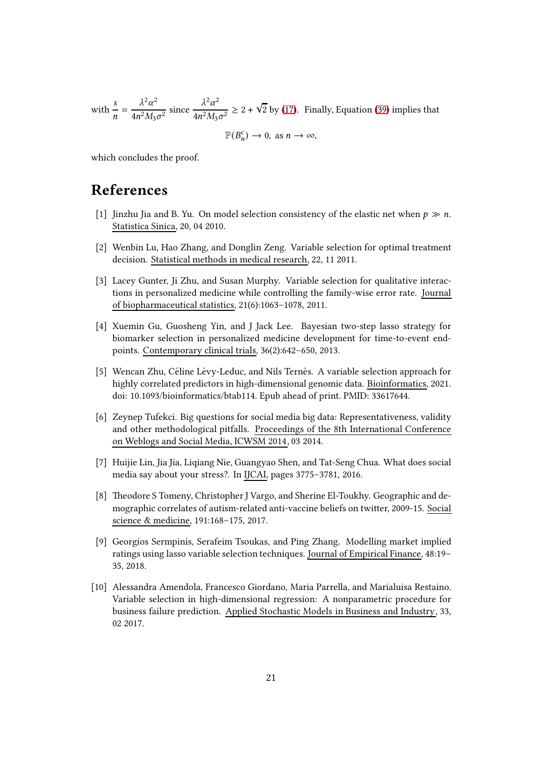with  $\frac{s}{n}$  $=\frac{\lambda^2\alpha^2}{\lambda^2}$  $\frac{\lambda^2 \alpha^2}{4n^2 M_3 \sigma^2}$  since  $\frac{\lambda^2 \alpha^2}{4n^2 M_3}$  $\frac{\lambda^2 \alpha^2}{4n^2 M_3 \sigma^2} \ge 2 + \sqrt{2}$  by [\(17\)](#page-4-4). Finally, Equation [\(39\)](#page-19-1) implies that

$$
\mathbb{P}(B_n^c) \to 0, \text{ as } n \to \infty,
$$

which concludes the proof.

### References

- <span id="page-20-0"></span>[1] Jinzhu Jia and B. Yu. On model selection consistency of the elastic net when  $p \gg n$ . Statistica Sinica, 20, 04 2010.
- <span id="page-20-1"></span>[2] Wenbin Lu, Hao Zhang, and Donglin Zeng. Variable selection for optimal treatment decision. Statistical methods in medical research, 22, 11 2011.
- <span id="page-20-2"></span>[3] Lacey Gunter, Ji Zhu, and Susan Murphy. Variable selection for qualitative interactions in personalized medicine while controlling the family-wise error rate. Journal of biopharmaceutical statistics, 21(6):1063–1078, 2011.
- <span id="page-20-3"></span>[4] Xuemin Gu, Guosheng Yin, and J Jack Lee. Bayesian two-step lasso strategy for biomarker selection in personalized medicine development for time-to-event endpoints. Contemporary clinical trials, 36(2):642–650, 2013.
- <span id="page-20-4"></span>[5] Wencan Zhu, Céline Lévy-Leduc, and Nils Ternès. A variable selection approach for highly correlated predictors in high-dimensional genomic data. Bioinformatics, 2021. doi: 10.1093/bioinformatics/btab114. Epub ahead of print. PMID: 33617644.
- <span id="page-20-5"></span>[6] Zeynep Tufekci. Big questions for social media big data: Representativeness, validity and other methodological pitfalls. Proceedings of the 8th International Conference on Weblogs and Social Media, ICWSM 2014, 03 2014.
- <span id="page-20-6"></span>[7] Huijie Lin, Jia Jia, Liqiang Nie, Guangyao Shen, and Tat-Seng Chua. What does social media say about your stress?. In IJCAI, pages 3775–3781, 2016.
- <span id="page-20-7"></span>[8] Theodore S Tomeny, Christopher J Vargo, and Sherine El-Toukhy. Geographic and demographic correlates of autism-related anti-vaccine beliefs on twitter, 2009-15. Social science & medicine, 191:168–175, 2017.
- <span id="page-20-8"></span>[9] Georgios Sermpinis, Serafeim Tsoukas, and Ping Zhang. Modelling market implied ratings using lasso variable selection techniques. Journal of Empirical Finance, 48:19– 35, 2018.
- <span id="page-20-9"></span>[10] Alessandra Amendola, Francesco Giordano, Maria Parrella, and Marialuisa Restaino. Variable selection in high-dimensional regression: A nonparametric procedure for business failure prediction. Applied Stochastic Models in Business and Industry, 33, 02 2017.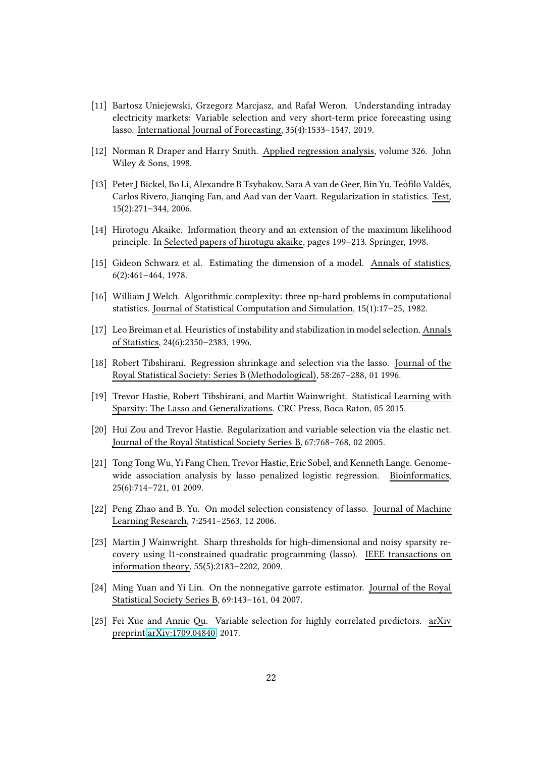- <span id="page-21-0"></span>[11] Bartosz Uniejewski, Grzegorz Marcjasz, and Rafał Weron. Understanding intraday electricity markets: Variable selection and very short-term price forecasting using lasso. International Journal of Forecasting, 35(4):1533–1547, 2019.
- <span id="page-21-1"></span>[12] Norman R Draper and Harry Smith. Applied regression analysis, volume 326. John Wiley & Sons, 1998.
- <span id="page-21-2"></span>[13] Peter J Bickel, Bo Li, Alexandre B Tsybakov, Sara A van de Geer, Bin Yu, Teófilo Valdés, Carlos Rivero, Jianqing Fan, and Aad van der Vaart. Regularization in statistics. Test, 15(2):271–344, 2006.
- <span id="page-21-3"></span>[14] Hirotogu Akaike. Information theory and an extension of the maximum likelihood principle. In Selected papers of hirotugu akaike, pages 199–213. Springer, 1998.
- <span id="page-21-4"></span>[15] Gideon Schwarz et al. Estimating the dimension of a model. Annals of statistics, 6(2):461–464, 1978.
- <span id="page-21-5"></span>[16] William J Welch. Algorithmic complexity: three np-hard problems in computational statistics. Journal of Statistical Computation and Simulation, 15(1):17–25, 1982.
- <span id="page-21-6"></span>[17] Leo Breiman et al. Heuristics of instability and stabilization in model selection. Annals of Statistics, 24(6):2350–2383, 1996.
- <span id="page-21-7"></span>[18] Robert Tibshirani. Regression shrinkage and selection via the lasso. Journal of the Royal Statistical Society: Series B (Methodological), 58:267–288, 01 1996.
- <span id="page-21-8"></span>[19] Trevor Hastie, Robert Tibshirani, and Martin Wainwright. Statistical Learning with Sparsity: The Lasso and Generalizations. CRC Press, Boca Raton, 05 2015.
- <span id="page-21-9"></span>[20] Hui Zou and Trevor Hastie. Regularization and variable selection via the elastic net. Journal of the Royal Statistical Society Series B, 67:768–768, 02 2005.
- <span id="page-21-10"></span>[21] Tong Tong Wu, Yi Fang Chen, Trevor Hastie, Eric Sobel, and Kenneth Lange. Genomewide association analysis by lasso penalized logistic regression. Bioinformatics, 25(6):714–721, 01 2009.
- <span id="page-21-11"></span>[22] Peng Zhao and B. Yu. On model selection consistency of lasso. Journal of Machine Learning Research, 7:2541–2563, 12 2006.
- <span id="page-21-12"></span>[23] Martin J Wainwright. Sharp thresholds for high-dimensional and noisy sparsity recovery using l1-constrained quadratic programming (lasso). IEEE transactions on information theory, 55(5):2183–2202, 2009.
- <span id="page-21-13"></span>[24] Ming Yuan and Yi Lin. On the nonnegative garrote estimator. Journal of the Royal Statistical Society Series B, 69:143–161, 04 2007.
- <span id="page-21-14"></span>[25] Fei Xue and Annie Qu. Variable selection for highly correlated predictors. arXiv preprint [arXiv:1709.04840,](http://arxiv.org/abs/1709.04840) 2017.